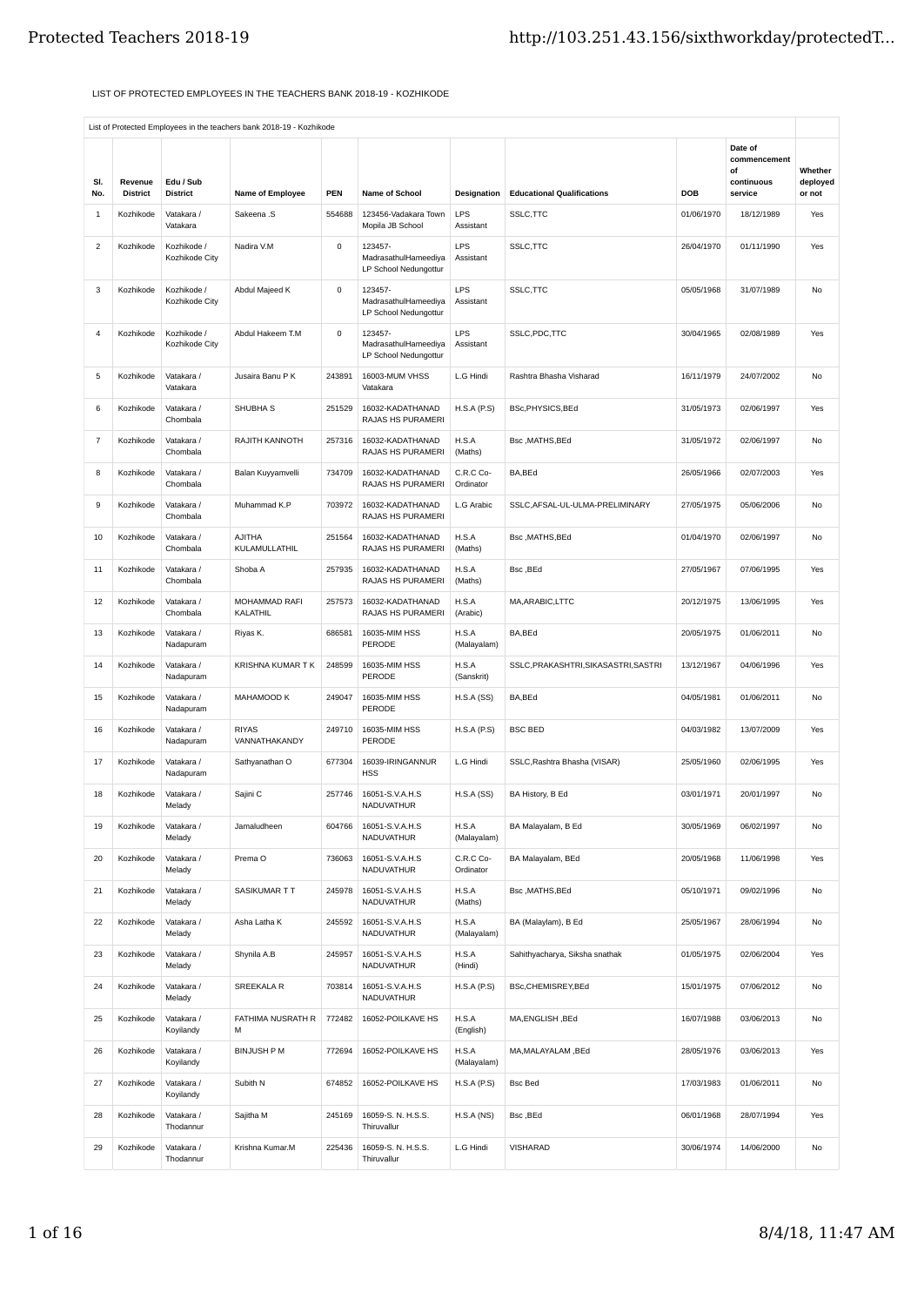## LIST OF PROTECTED EMPLOYEES IN THE TEACHERS BANK 2018-19 - KOZHIKODE

|                |                            |                               |                                |              |                                                                 |                         |                                      |            | Date of               |                    |
|----------------|----------------------------|-------------------------------|--------------------------------|--------------|-----------------------------------------------------------------|-------------------------|--------------------------------------|------------|-----------------------|--------------------|
|                |                            |                               |                                |              |                                                                 |                         |                                      |            | commencement<br>οf    | Whether            |
| SI.<br>No.     | Revenue<br><b>District</b> | Edu / Sub<br><b>District</b>  | Name of Employee               | PEN          | Name of School                                                  | Designation             | <b>Educational Qualifications</b>    | <b>DOB</b> | continuous<br>service | deployed<br>or not |
| $\mathbf{1}$   | Kozhikode                  | Vatakara /<br>Vatakara        | Sakeena .S                     | 554688       | 123456-Vadakara Town<br>Mopila JB School                        | LPS<br>Assistant        | SSLC, TTC                            | 01/06/1970 | 18/12/1989            | Yes                |
| $\overline{c}$ | Kozhikode                  | Kozhikode /<br>Kozhikode City | Nadira V.M                     | $\mathsf{O}$ | 123457-<br>MadrasathulHameediya<br>LP School Nedungottur        | LPS<br>Assistant        | SSLC, TTC                            | 26/04/1970 | 01/11/1990            | Yes                |
| 3              | Kozhikode                  | Kozhikode /<br>Kozhikode City | Abdul Majeed K                 | $\mathsf 0$  | 123457-<br>MadrasathulHameediya<br>LP School Nedungottur        | LPS<br>Assistant        | SSLC, TTC                            | 05/05/1968 | 31/07/1989            | No                 |
| $\overline{4}$ | Kozhikode                  | Kozhikode /<br>Kozhikode City | Abdul Hakeem T.M               | $\mathsf 0$  | 123457-<br>MadrasathulHameediya<br><b>LP School Nedungottur</b> | <b>LPS</b><br>Assistant | SSLC, PDC, TTC                       | 30/04/1965 | 02/08/1989            | Yes                |
| 5              | Kozhikode                  | Vatakara /<br>Vatakara        | Jusaira Banu P K               | 243891       | 16003-MUM VHSS<br>Vatakara                                      | L.G Hindi               | Rashtra Bhasha Visharad              | 16/11/1979 | 24/07/2002            | No                 |
| 6              | Kozhikode                  | Vatakara /<br>Chombala        | SHUBHA <sub>S</sub>            | 251529       | 16032-KADATHANAD<br>RAJAS HS PURAMERI                           | H.S.A(P.S)              | BSc, PHYSICS, BEd                    | 31/05/1973 | 02/06/1997            | Yes                |
| $\overline{7}$ | Kozhikode                  | Vatakara /<br>Chombala        | RAJITH KANNOTH                 | 257316       | 16032-KADATHANAD<br>RAJAS HS PURAMERI                           | H.S.A<br>(Maths)        | Bsc, MATHS, BEd                      | 31/05/1972 | 02/06/1997            | No                 |
| 8              | Kozhikode                  | Vatakara /<br>Chombala        | Balan Kuyyamvelli              | 734709       | 16032-KADATHANAD<br>RAJAS HS PURAMERI                           | C.R.C Co-<br>Ordinator  | BA, BEd                              | 26/05/1966 | 02/07/2003            | Yes                |
| 9              | Kozhikode                  | Vatakara /<br>Chombala        | Muhammad K.P                   | 703972       | 16032-KADATHANAD<br>RAJAS HS PURAMERI                           | L.G Arabic              | SSLC, AFSAL-UL-ULMA-PRELIMINARY      | 27/05/1975 | 05/06/2006            | No                 |
| 10             | Kozhikode                  | Vatakara /<br>Chombala        | <b>AJITHA</b><br>KULAMULLATHIL | 251564       | 16032-KADATHANAD<br>RAJAS HS PURAMERI                           | H.S.A<br>(Maths)        | Bsc, MATHS, BEd                      | 01/04/1970 | 02/06/1997            | No                 |
| 11             | Kozhikode                  | Vatakara /<br>Chombala        | Shoba A                        | 257935       | 16032-KADATHANAD<br>RAJAS HS PURAMERI                           | H.S.A<br>(Maths)        | Bsc, BEd                             | 27/05/1967 | 07/06/1995            | Yes                |
| 12             | Kozhikode                  | Vatakara /<br>Chombala        | MOHAMMAD RAFI<br>KALATHIL      | 257573       | 16032-KADATHANAD<br>RAJAS HS PURAMERI                           | H.S.A<br>(Arabic)       | MA, ARABIC, LTTC                     | 20/12/1975 | 13/06/1995            | Yes                |
| 13             | Kozhikode                  | Vatakara /<br>Nadapuram       | Riyas K.                       | 686581       | 16035-MIM HSS<br>PERODE                                         | H.S.A<br>(Malayalam)    | BA, BEd                              | 20/05/1975 | 01/06/2011            | No                 |
| 14             | Kozhikode                  | Vatakara /<br>Nadapuram       | KRISHNA KUMAR T K              | 248599       | 16035-MIM HSS<br>PERODE                                         | H.S.A<br>(Sanskrit)     | SSLC, PRAKASHTRI, SIKASASTRI, SASTRI | 13/12/1967 | 04/06/1996            | Yes                |
| 15             | Kozhikode                  | Vatakara /<br>Nadapuram       | MAHAMOOD K                     | 249047       | 16035-MIM HSS<br>PERODE                                         | H.S.A(SS)               | BA, BEd                              | 04/05/1981 | 01/06/2011            | No                 |
| 16             | Kozhikode                  | Vatakara /<br>Nadapuram       | <b>RIYAS</b><br>VANNATHAKANDY  | 249710       | 16035-MIM HSS<br>PERODE                                         | H.S.A(P.S)              | <b>BSC BED</b>                       | 04/03/1982 | 13/07/2009            | Yes                |
| 17             | Kozhikode                  | Vatakara /<br>Nadapuram       | Sathyanathan O                 | 677304       | 16039-IRINGANNUR<br><b>HSS</b>                                  | L.G Hindi               | SSLC, Rashtra Bhasha (VISAR)         | 25/05/1960 | 02/06/1995            | Yes                |
| 18             | Kozhikode                  | Vatakara /<br>Melady          | Sajini C                       | 257746       | 16051-S.V.A.H.S<br><b>NADUVATHUR</b>                            | H.S.A(SS)               | BA History, B Ed                     | 03/01/1971 | 20/01/1997            | No                 |
| 19             | Kozhikode Vatakara /       | Melady                        | Jamaludheen                    |              | 604766 16051-S.V.A.H.S<br>NADUVATHUR                            | H.S.A<br>(Malayalam)    | BA Malayalam, B Ed                   | 30/05/1969 | 06/02/1997            | <b>No</b>          |
| 20             | Kozhikode                  | Vatakara /<br>Melady          | Prema O                        | 736063       | 16051-S.V.A.H.S<br>NADUVATHUR                                   | C.R.C Co-<br>Ordinator  | BA Malayalam, BEd                    | 20/05/1968 | 11/06/1998            | Yes                |
| 21             | Kozhikode                  | Vatakara /<br>Melady          | SASIKUMAR TT                   | 245978       | 16051-S.V.A.H.S<br>NADUVATHUR                                   | H.S.A<br>(Maths)        | Bsc, MATHS, BEd                      | 05/10/1971 | 09/02/1996            | No                 |
| 22             | Kozhikode                  | Vatakara /<br>Melady          | Asha Latha K                   | 245592       | 16051-S.V.A.H.S<br><b>NADUVATHUR</b>                            | H.S.A<br>(Malayalam)    | BA (Malaylam), B Ed                  | 25/05/1967 | 28/06/1994            | No                 |
| 23             | Kozhikode                  | Vatakara /<br>Melady          | Shynila A.B                    | 245957       | 16051-S.V.A.H.S<br><b>NADUVATHUR</b>                            | H.S.A<br>(Hindi)        | Sahithyacharya, Siksha snathak       | 01/05/1975 | 02/06/2004            | Yes                |
| 24             | Kozhikode                  | Vatakara /<br>Melady          | SREEKALA R                     | 703814       | 16051-S.V.A.H.S<br>NADUVATHUR                                   | H.S.A(P.S)              | BSc, CHEMISREY, BEd                  | 15/01/1975 | 07/06/2012            | No                 |
| 25             | Kozhikode                  | Vatakara /<br>Koyilandy       | FATHIMA NUSRATH R<br>М         | 772482       | 16052-POILKAVE HS                                               | H.S.A<br>(English)      | MA, ENGLISH, BEd                     | 16/07/1988 | 03/06/2013            | No                 |
| 26             | Kozhikode                  | Vatakara /<br>Koyilandy       | <b>BINJUSH P M</b>             | 772694       | 16052-POILKAVE HS                                               | H.S.A<br>(Malayalam)    | MA, MALAYALAM, BEd                   | 28/05/1976 | 03/06/2013            | Yes                |
| 27             | Kozhikode                  | Vatakara /<br>Koyilandy       | Subith N                       | 674852       | 16052-POILKAVE HS                                               | H.S.A(P.S)              | <b>Bsc Bed</b>                       | 17/03/1983 | 01/06/2011            | No                 |
| 28             | Kozhikode                  | Vatakara /<br>Thodannur       | Sajitha M                      | 245169       | 16059-S. N. H.S.S.<br>Thiruvallur                               | H.S.A(NS)               | Bsc, BEd                             | 06/01/1968 | 28/07/1994            | Yes                |
| 29             | Kozhikode                  | Vatakara /<br>Thodannur       | Krishna Kumar.M                | 225436       | 16059-S. N. H.S.S.<br>Thiruvallur                               | L.G Hindi               | <b>VISHARAD</b>                      | 30/06/1974 | 14/06/2000            | No                 |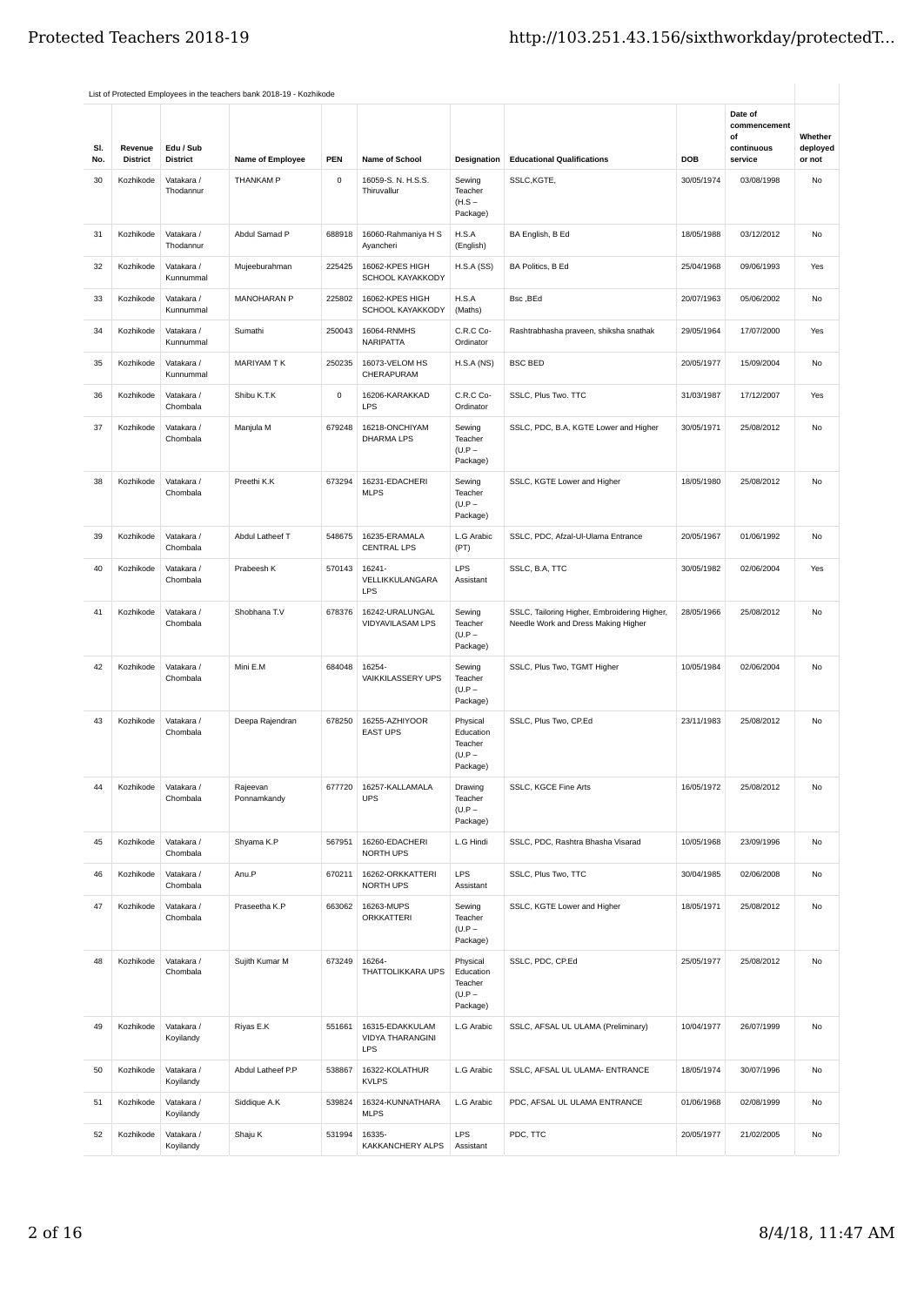|            |                            |                              | List of Protected Employees in the teachers bank 2018-19 - Kozhikode |             |                                            |                                                          |                                                                                     |            |                                                        |                               |
|------------|----------------------------|------------------------------|----------------------------------------------------------------------|-------------|--------------------------------------------|----------------------------------------------------------|-------------------------------------------------------------------------------------|------------|--------------------------------------------------------|-------------------------------|
| SI.<br>No. | Revenue<br><b>District</b> | Edu / Sub<br><b>District</b> | Name of Employee                                                     | PEN         | Name of School                             | <b>Designation</b>                                       | <b>Educational Qualifications</b>                                                   | <b>DOB</b> | Date of<br>commencement<br>οf<br>continuous<br>service | Whether<br>deployed<br>or not |
| 30         | Kozhikode                  | Vatakara /<br>Thodannur      | THANKAM P                                                            | $\mathbf 0$ | 16059-S. N. H.S.S.<br>Thiruvallur          | Sewing<br>Teacher<br>$(H.S -$<br>Package)                | SSLC, KGTE,                                                                         | 30/05/1974 | 03/08/1998                                             | No                            |
| 31         | Kozhikode                  | Vatakara /<br>Thodannur      | Abdul Samad P                                                        | 688918      | 16060-Rahmaniya H S<br>Ayancheri           | H.S.A<br>(English)                                       | BA English, B Ed                                                                    | 18/05/1988 | 03/12/2012                                             | No                            |
| 32         | Kozhikode                  | Vatakara /<br>Kunnummal      | Mujeeburahman                                                        | 225425      | 16062-KPES HIGH<br>SCHOOL KAYAKKODY        | H.S.A(SS)                                                | BA Politics, B Ed                                                                   | 25/04/1968 | 09/06/1993                                             | Yes                           |
| 33         | Kozhikode                  | Vatakara /<br>Kunnummal      | MANOHARAN P                                                          | 225802      | 16062-KPES HIGH<br>SCHOOL KAYAKKODY        | H.S.A<br>(Maths)                                         | Bsc, BEd                                                                            | 20/07/1963 | 05/06/2002                                             | No                            |
| 34         | Kozhikode                  | Vatakara /<br>Kunnummal      | Sumathi                                                              | 250043      | 16064-RNMHS<br><b>NARIPATTA</b>            | C.R.C Co-<br>Ordinator                                   | Rashtrabhasha praveen, shiksha snathak                                              | 29/05/1964 | 17/07/2000                                             | Yes                           |
| 35         | Kozhikode                  | Vatakara /<br>Kunnummal      | MARIYAM T K                                                          | 250235      | 16073-VELOM HS<br>CHERAPURAM               | H.S.A(NS)                                                | <b>BSC BED</b>                                                                      | 20/05/1977 | 15/09/2004                                             | No                            |
| 36         | Kozhikode                  | Vatakara /<br>Chombala       | Shibu K.T.K                                                          | 0           | 16206-KARAKKAD<br>LPS                      | C.R.C Co-<br>Ordinator                                   | SSLC, Plus Two. TTC                                                                 | 31/03/1987 | 17/12/2007                                             | Yes                           |
| 37         | Kozhikode                  | Vatakara /<br>Chombala       | Manjula M                                                            | 679248      | 16218-ONCHIYAM<br><b>DHARMA LPS</b>        | Sewing<br>Teacher<br>$(U.P -$<br>Package)                | SSLC, PDC, B.A, KGTE Lower and Higher                                               | 30/05/1971 | 25/08/2012                                             | No                            |
| 38         | Kozhikode                  | Vatakara /<br>Chombala       | Preethi K.K                                                          | 673294      | 16231-EDACHERI<br><b>MLPS</b>              | Sewing<br>Teacher<br>$(U.P -$<br>Package)                | SSLC, KGTE Lower and Higher                                                         | 18/05/1980 | 25/08/2012                                             | No                            |
| 39         | Kozhikode                  | Vatakara /<br>Chombala       | Abdul Latheef T                                                      | 548675      | 16235-ERAMALA<br><b>CENTRAL LPS</b>        | L.G Arabic<br>(PT)                                       | SSLC, PDC, Afzal-Ul-Ulama Entrance                                                  | 20/05/1967 | 01/06/1992                                             | No                            |
| 40         | Kozhikode                  | Vatakara /<br>Chombala       | Prabeesh K                                                           | 570143      | 16241-<br>VELLIKKULANGARA<br><b>LPS</b>    | LPS<br>Assistant                                         | SSLC, B.A, TTC                                                                      | 30/05/1982 | 02/06/2004                                             | Yes                           |
| 41         | Kozhikode                  | Vatakara /<br>Chombala       | Shobhana T.V                                                         | 678376      | 16242-URALUNGAL<br>VIDYAVILASAM LPS        | Sewing<br>Teacher<br>$(U.P -$<br>Package)                | SSLC, Tailoring Higher, Embroidering Higher,<br>Needle Work and Dress Making Higher | 28/05/1966 | 25/08/2012                                             | No                            |
| 42         | Kozhikode                  | Vatakara /<br>Chombala       | Mini E.M                                                             | 684048      | 16254-<br>VAIKKILASSERY UPS                | Sewing<br>Teacher<br>$(U.P -$<br>Package)                | SSLC, Plus Two, TGMT Higher                                                         | 10/05/1984 | 02/06/2004                                             | No                            |
| 43         | Kozhikode                  | Vatakara /<br>Chombala       | Deepa Rajendran                                                      | 678250      | 16255-AZHIYOOR<br><b>EAST UPS</b>          | Physical<br>Education<br>Teacher<br>$(U.P -$<br>Package) | SSLC, Plus Two, CP.Ed                                                               | 23/11/1983 | 25/08/2012                                             | No                            |
| 44         | Kozhikode                  | Vatakara /<br>Chombala       | Rajeevan<br>Ponnamkandy                                              | 677720      | 16257-KALLAMALA<br><b>UPS</b>              | Drawing<br>Teacher<br>$(U.P -$<br>Package)               | SSLC, KGCE Fine Arts                                                                | 16/05/1972 | 25/08/2012                                             | No                            |
| 45         | Kozhikode                  | Vatakara /<br>Chombala       | Shyama K.P                                                           | 567951      | 16260-EDACHERI<br>NORTH UPS                | L.G Hindi                                                | SSLC, PDC, Rashtra Bhasha Visarad                                                   | 10/05/1968 | 23/09/1996                                             | No                            |
| 46         | Kozhikode                  | Vatakara /<br>Chombala       | Anu.P                                                                | 670211      | 16262-ORKKATTERI<br>NORTH UPS              | LPS<br>Assistant                                         | SSLC, Plus Two, TTC                                                                 | 30/04/1985 | 02/06/2008                                             | No                            |
| 47         | Kozhikode                  | Vatakara /<br>Chombala       | Praseetha K.P                                                        | 663062      | 16263-MUPS<br><b>ORKKATTERI</b>            | Sewing<br>Teacher<br>$(U.P -$<br>Package)                | SSLC, KGTE Lower and Higher                                                         | 18/05/1971 | 25/08/2012                                             | No                            |
| 48         | Kozhikode                  | Vatakara /<br>Chombala       | Sujith Kumar M                                                       | 673249      | 16264-<br>THATTOLIKKARA UPS                | Physical<br>Education<br>Teacher<br>$(U.P -$<br>Package) | SSLC, PDC, CP.Ed                                                                    | 25/05/1977 | 25/08/2012                                             | No                            |
| 49         | Kozhikode                  | Vatakara /<br>Koyilandy      | Riyas E.K                                                            | 551661      | 16315-EDAKKULAM<br>VIDYA THARANGINI<br>LPS | L.G Arabic                                               | SSLC, AFSAL UL ULAMA (Preliminary)                                                  | 10/04/1977 | 26/07/1999                                             | No                            |
| 50         | Kozhikode                  | Vatakara /<br>Koyilandy      | Abdul Latheef P.P                                                    | 538867      | 16322-KOLATHUR<br><b>KVLPS</b>             | L.G Arabic                                               | SSLC, AFSAL UL ULAMA- ENTRANCE                                                      | 18/05/1974 | 30/07/1996                                             | No                            |
| 51         | Kozhikode                  | Vatakara /<br>Koyilandy      | Siddique A.K                                                         | 539824      | 16324-KUNNATHARA<br><b>MLPS</b>            | L.G Arabic                                               | PDC, AFSAL UL ULAMA ENTRANCE                                                        | 01/06/1968 | 02/08/1999                                             | No                            |
| 52         | Kozhikode                  | Vatakara /<br>Koyilandy      | Shaju K                                                              | 531994      | 16335-<br>KAKKANCHERY ALPS                 | <b>LPS</b><br>Assistant                                  | PDC, TTC                                                                            | 20/05/1977 | 21/02/2005                                             | No                            |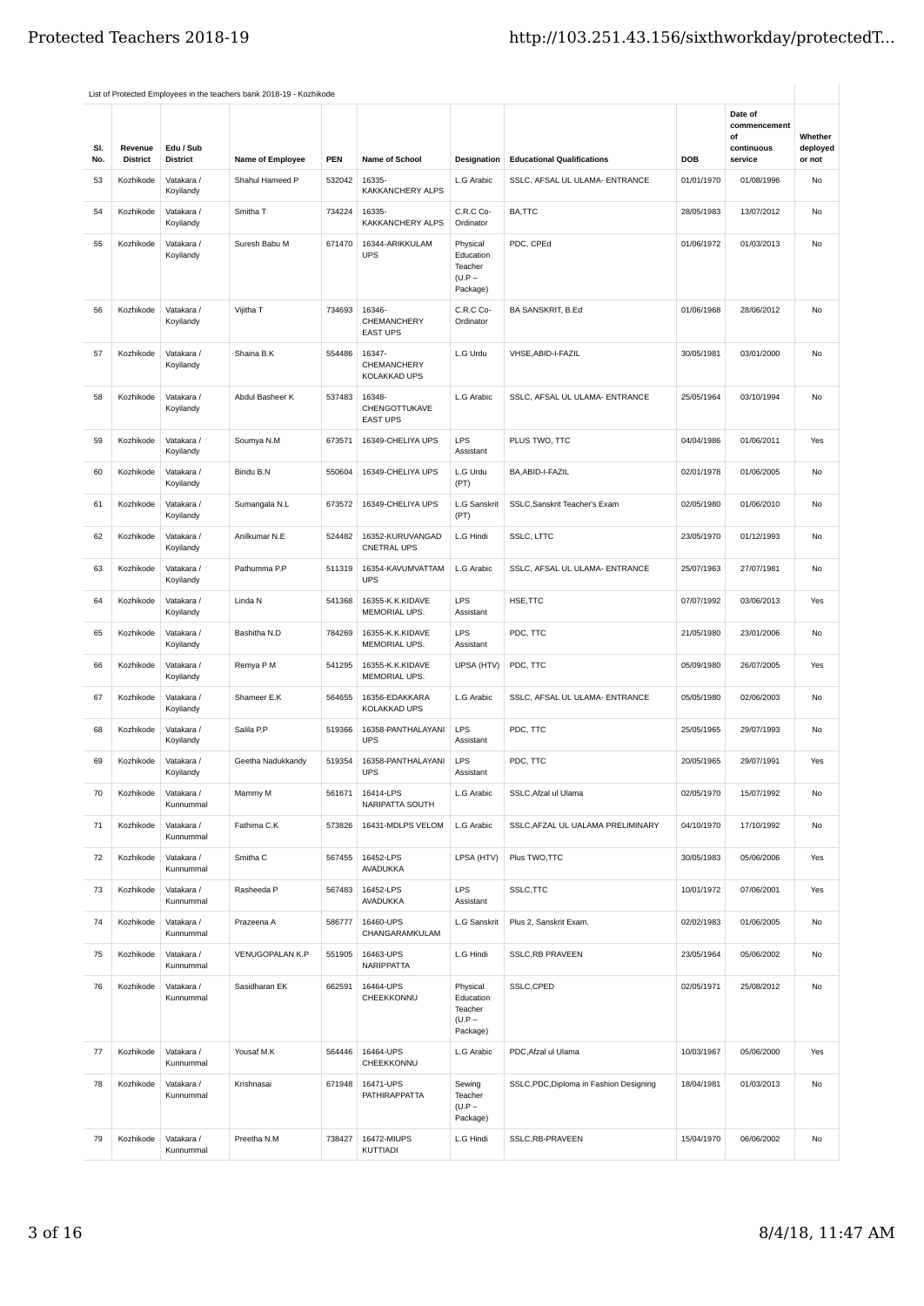| SI.<br>No. | Revenue<br><b>District</b> | Edu / Sub<br><b>District</b> | Name of Employee    | PEN    | <b>Name of School</b>                      | Designation                                              | <b>Educational Qualifications</b>       | DOB        | Date of<br>commencement<br>οf<br>continuous<br>service | Whether<br>deployed<br>or not |
|------------|----------------------------|------------------------------|---------------------|--------|--------------------------------------------|----------------------------------------------------------|-----------------------------------------|------------|--------------------------------------------------------|-------------------------------|
| 53         | Kozhikode                  | Vatakara /<br>Koyilandy      | Shahul Hameed P     | 532042 | 16335-<br>KAKKANCHERY ALPS                 | L.G Arabic                                               | SSLC, AFSAL UL ULAMA- ENTRANCE          | 01/01/1970 | 01/08/1996                                             | No                            |
| 54         | Kozhikode                  | Vatakara /<br>Koyilandy      | Smitha <sub>T</sub> | 734224 | 16335-<br>KAKKANCHERY ALPS                 | C.R.C Co-<br>Ordinator                                   | BA,TTC                                  | 28/05/1983 | 13/07/2012                                             | No                            |
| 55         | Kozhikode                  | Vatakara /<br>Koyilandy      | Suresh Babu M       | 671470 | 16344-ARIKKULAM<br><b>UPS</b>              | Physical<br>Education<br>Teacher<br>$(U.P -$<br>Package) | PDC, CPEd                               | 01/06/1972 | 01/03/2013                                             | No                            |
| 56         | Kozhikode                  | Vatakara /<br>Koyilandy      | Vijitha T           | 734693 | 16346-<br>CHEMANCHERY<br><b>EAST UPS</b>   | C.R.C Co-<br>Ordinator                                   | BA SANSKRIT, B.Ed                       | 01/06/1968 | 28/06/2012                                             | No                            |
| 57         | Kozhikode                  | Vatakara /<br>Koyilandy      | Shaina B.K          | 554486 | 16347-<br>CHEMANCHERY<br>KOLAKKAD UPS      | L.G Urdu                                                 | VHSE, ABID-I-FAZIL                      | 30/05/1981 | 03/01/2000                                             | No                            |
| 58         | Kozhikode                  | Vatakara /<br>Koyilandy      | Abdul Basheer K     | 537483 | 16348-<br>CHENGOTTUKAVE<br><b>EAST UPS</b> | L.G Arabic                                               | SSLC, AFSAL UL ULAMA- ENTRANCE          | 25/05/1964 | 03/10/1994                                             | No                            |
| 59         | Kozhikode                  | Vatakara /<br>Koyilandy      | Soumya N.M          | 673571 | 16349-CHELIYA UPS                          | LPS<br>Assistant                                         | PLUS TWO, TTC                           | 04/04/1986 | 01/06/2011                                             | Yes                           |
| 60         | Kozhikode                  | Vatakara /<br>Koyilandy      | Bindu B.N           | 550604 | 16349-CHELIYA UPS                          | L.G Urdu<br>(PT)                                         | BA, ABID-I-FAZIL                        | 02/01/1978 | 01/06/2005                                             | No                            |
| 61         | Kozhikode                  | Vatakara /<br>Koyilandy      | Sumangala N.L       | 673572 | 16349-CHELIYA UPS                          | <b>L.G Sanskrit</b><br>(PT)                              | SSLC, Sanskrit Teacher's Exam           | 02/05/1980 | 01/06/2010                                             | No                            |
| 62         | Kozhikode                  | Vatakara /<br>Koyilandy      | Anilkumar N.E       | 524482 | 16352-KURUVANGAD<br><b>CNETRAL UPS</b>     | L.G Hindi                                                | SSLC, LTTC                              | 23/05/1970 | 01/12/1993                                             | No                            |
| 63         | Kozhikode                  | Vatakara /<br>Koyilandy      | Pathumma P.P        | 511319 | 16354-KAVUMVATTAM<br><b>UPS</b>            | L.G Arabic                                               | SSLC, AFSAL UL ULAMA- ENTRANCE          | 25/07/1963 | 27/07/1981                                             | No                            |
| 64         | Kozhikode                  | Vatakara /<br>Koyilandy      | Linda N             | 541368 | 16355-K.K.KIDAVE<br>MEMORIAL UPS.          | LPS<br>Assistant                                         | HSE, TTC                                | 07/07/1992 | 03/06/2013                                             | Yes                           |
| 65         | Kozhikode                  | Vatakara /<br>Koyilandy      | Bashitha N.D        | 784269 | 16355-K.K.KIDAVE<br>MEMORIAL UPS.          | LPS<br>Assistant                                         | PDC, TTC                                | 21/05/1980 | 23/01/2006                                             | No                            |
| 66         | Kozhikode                  | Vatakara /<br>Koyilandy      | Remya P M           | 541295 | 16355-K.K.KIDAVE<br>MEMORIAL UPS.          | UPSA (HTV)                                               | PDC, TTC                                | 05/09/1980 | 26/07/2005                                             | Yes                           |
| 67         | Kozhikode                  | Vatakara /<br>Koyilandy      | Shameer E.K         | 564655 | 16356-EDAKKARA<br>KOLAKKAD UPS             | L.G Arabic                                               | SSLC, AFSAL UL ULAMA- ENTRANCE          | 05/05/1980 | 02/06/2003                                             | No                            |
| 68         | Kozhikode                  | Vatakara /<br>Koyilandy      | Salila P.P          | 519366 | 16358-PANTHALAYANI<br><b>UPS</b>           | <b>LPS</b><br>Assistant                                  | PDC, TTC                                | 25/05/1965 | 29/07/1993                                             | No                            |
| 69         | Kozhikode                  | Vatakara /<br>Koyilandy      | Geetha Nadukkandy   | 519354 | 16358-PANTHALAYANI<br><b>UPS</b>           | LPS<br>Assistant                                         | PDC, TTC                                | 20/05/1965 | 29/07/1991                                             | Yes                           |
| 70         | Kozhikode                  | Vatakara /<br>Kunnummal      | Mammy M             | 561671 | 16414-LPS<br>NARIPATTA SOUTH               | L.G Arabic                                               | SSLC, Afzal ul Ulama                    | 02/05/1970 | 15/07/1992                                             | No                            |
| 71         | Kozhikode                  | Vatakara /<br>Kunnummal      | Fathima C.K         | 573826 | 16431-MDLPS VELOM                          | L.G Arabic                                               | SSLC, AFZAL UL UALAMA PRELIMINARY       | 04/10/1970 | 17/10/1992                                             | No                            |
| 72         | Kozhikode                  | Vatakara /<br>Kunnummal      | Smitha <sub>C</sub> | 567455 | 16452-LPS<br><b>AVADUKKA</b>               | LPSA (HTV)                                               | Plus TWO, TTC                           | 30/05/1983 | 05/06/2006                                             | Yes                           |
| 73         | Kozhikode                  | Vatakara /<br>Kunnummal      | Rasheeda P          | 567483 | 16452-LPS<br>AVADUKKA                      | LPS<br>Assistant                                         | SSLC, TTC                               | 10/01/1972 | 07/06/2001                                             | Yes                           |
| 74         | Kozhikode                  | Vatakara /<br>Kunnummal      | Prazeena A          | 586777 | 16460-UPS<br>CHANGARAMKULAM                | L.G Sanskrit                                             | Plus 2, Sanskrit Exam.                  | 02/02/1983 | 01/06/2005                                             | No                            |
| 75         | Kozhikode                  | Vatakara /<br>Kunnummal      | VENUGOPALAN K.P     | 551905 | 16463-UPS<br><b>NARIPPATTA</b>             | L.G Hindi                                                | <b>SSLC, RB PRAVEEN</b>                 | 23/05/1964 | 05/06/2002                                             | No                            |
| 76         | Kozhikode                  | Vatakara /<br>Kunnummal      | Sasidharan EK       | 662591 | 16464-UPS<br>CHEEKKONNU                    | Physical<br>Education<br>Teacher<br>$(U.P -$<br>Package) | SSLC,CPED                               | 02/05/1971 | 25/08/2012                                             | No                            |
| 77         | Kozhikode                  | Vatakara /<br>Kunnummal      | Yousaf M.K          | 564446 | 16464-UPS<br>CHEEKKONNU                    | L.G Arabic                                               | PDC, Afzal ul Ulama                     | 10/03/1967 | 05/06/2000                                             | Yes                           |
| 78         | Kozhikode                  | Vatakara /<br>Kunnummal      | Krishnasai          | 671948 | 16471-UPS<br>PATHIRAPPATTA                 | Sewing<br>Teacher<br>$(U.P -$<br>Package)                | SSLC, PDC, Diploma in Fashion Designing | 18/04/1981 | 01/03/2013                                             | No                            |
| 79         | Kozhikode                  | Vatakara /<br>Kunnummal      | Preetha N.M         | 738427 | 16472-MIUPS<br>KUTTIADI                    | L.G Hindi                                                | SSLC,RB-PRAVEEN                         | 15/04/1970 | 06/06/2002                                             | No                            |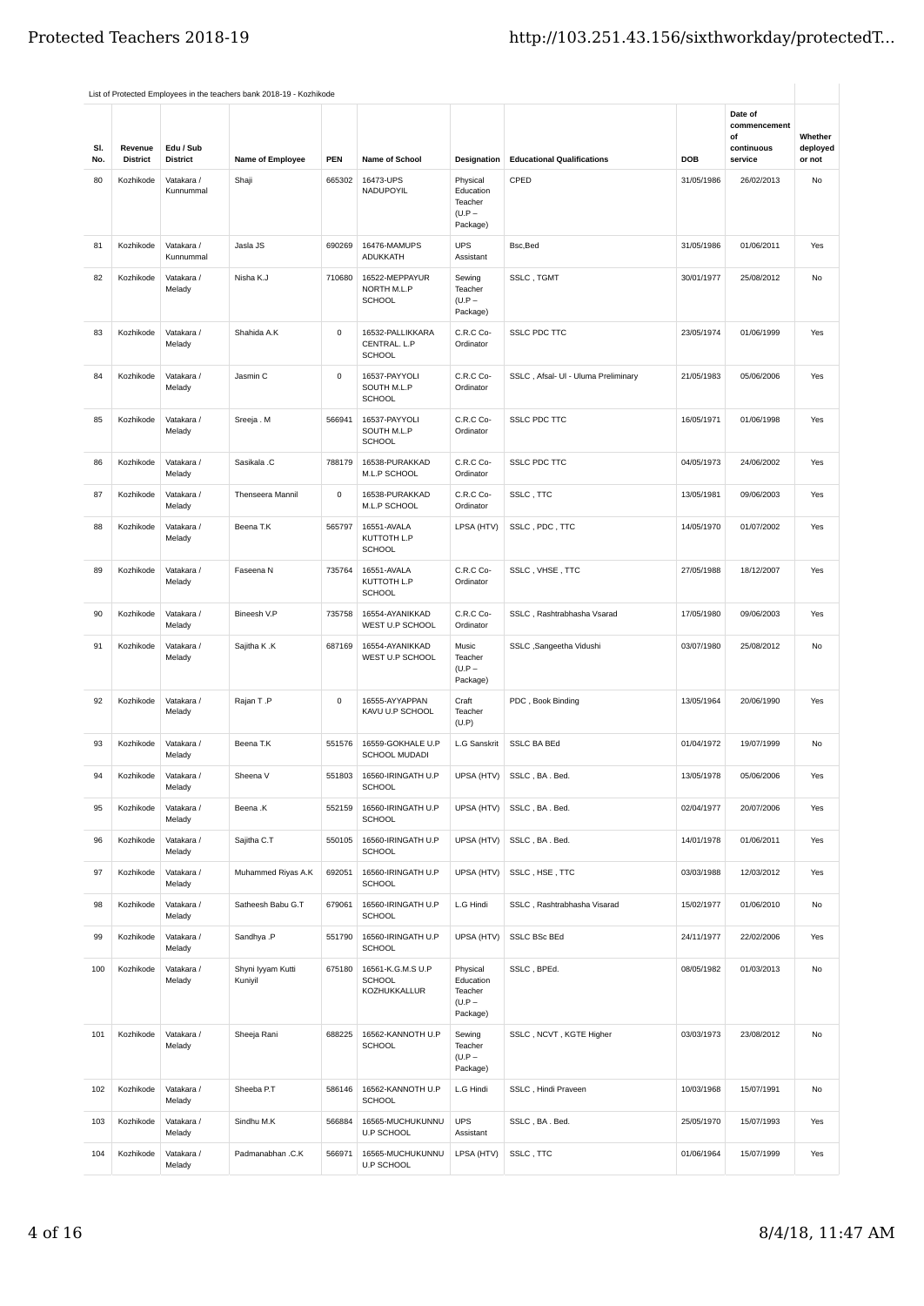| SI. | Revenue         | Edu / Sub               |                              |             |                                                    |                                                          |                                     |            | Date of<br>commencement<br>of<br>continuous | Whether<br>deployed |
|-----|-----------------|-------------------------|------------------------------|-------------|----------------------------------------------------|----------------------------------------------------------|-------------------------------------|------------|---------------------------------------------|---------------------|
| No. | <b>District</b> | <b>District</b>         | Name of Employee             | <b>PEN</b>  | Name of School                                     | Designation                                              | <b>Educational Qualifications</b>   | DOB        | service                                     | or not              |
| 80  | Kozhikode       | Vatakara /<br>Kunnummal | Shaji                        | 665302      | 16473-UPS<br>NADUPOYIL                             | Physical<br>Education<br>Teacher<br>$(U.P -$<br>Package) | CPED                                | 31/05/1986 | 26/02/2013                                  | No                  |
| 81  | Kozhikode       | Vatakara /<br>Kunnummal | Jasla JS                     | 690269      | 16476-MAMUPS<br><b>ADUKKATH</b>                    | <b>UPS</b><br>Assistant                                  | Bsc, Bed                            | 31/05/1986 | 01/06/2011                                  | Yes                 |
| 82  | Kozhikode       | Vatakara /<br>Melady    | Nisha K.J                    | 710680      | 16522-MEPPAYUR<br>NORTH M.L.P<br><b>SCHOOL</b>     | Sewing<br>Teacher<br>$(U.P -$<br>Package)                | SSLC, TGMT                          | 30/01/1977 | 25/08/2012                                  | No                  |
| 83  | Kozhikode       | Vatakara /<br>Melady    | Shahida A.K                  | $\mathbf 0$ | 16532-PALLIKKARA<br>CENTRAL. L.P<br><b>SCHOOL</b>  | C.R.C Co-<br>Ordinator                                   | <b>SSLC PDC TTC</b>                 | 23/05/1974 | 01/06/1999                                  | Yes                 |
| 84  | Kozhikode       | Vatakara /<br>Melady    | Jasmin C                     | $\mathsf 0$ | 16537-PAYYOLI<br>SOUTH M.L.P<br>SCHOOL             | C.R.C Co-<br>Ordinator                                   | SSLC, Afsal- Ul - Uluma Preliminary | 21/05/1983 | 05/06/2006                                  | Yes                 |
| 85  | Kozhikode       | Vatakara /<br>Melady    | Sreeja . M                   | 566941      | 16537-PAYYOLI<br>SOUTH M.L.P<br><b>SCHOOL</b>      | C.R.C Co-<br>Ordinator                                   | <b>SSLC PDC TTC</b>                 | 16/05/1971 | 01/06/1998                                  | Yes                 |
| 86  | Kozhikode       | Vatakara /<br>Melady    | Sasikala .C                  | 788179      | 16538-PURAKKAD<br>M.L.P SCHOOL                     | C.R.C Co-<br>Ordinator                                   | <b>SSLC PDC TTC</b>                 | 04/05/1973 | 24/06/2002                                  | Yes                 |
| 87  | Kozhikode       | Vatakara /<br>Melady    | Thenseera Mannil             | $\mathsf 0$ | 16538-PURAKKAD<br>M.L.P SCHOOL                     | C.R.C Co-<br>Ordinator                                   | SSLC, TTC                           | 13/05/1981 | 09/06/2003                                  | Yes                 |
| 88  | Kozhikode       | Vatakara /<br>Melady    | Beena T.K                    | 565797      | 16551-AVALA<br>KUTTOTH L.P<br>SCHOOL               | LPSA (HTV)                                               | SSLC, PDC, TTC                      | 14/05/1970 | 01/07/2002                                  | Yes                 |
| 89  | Kozhikode       | Vatakara /<br>Melady    | Faseena N                    | 735764      | 16551-AVALA<br>KUTTOTH L.P<br><b>SCHOOL</b>        | C.R.C Co-<br>Ordinator                                   | SSLC, VHSE, TTC                     | 27/05/1988 | 18/12/2007                                  | Yes                 |
| 90  | Kozhikode       | Vatakara /<br>Melady    | Bineesh V.P                  | 735758      | 16554-AYANIKKAD<br>WEST U.P SCHOOL                 | C.R.C Co-<br>Ordinator                                   | SSLC, Rashtrabhasha Vsarad          | 17/05/1980 | 09/06/2003                                  | Yes                 |
| 91  | Kozhikode       | Vatakara /<br>Melady    | Sajitha K.K                  | 687169      | 16554-AYANIKKAD<br>WEST U.P SCHOOL                 | Music<br>Teacher<br>$(U.P -$<br>Package)                 | SSLC ,Sangeetha Vidushi             | 03/07/1980 | 25/08/2012                                  | No                  |
| 92  | Kozhikode       | Vatakara /<br>Melady    | Rajan T.P                    | $\mathbf 0$ | 16555-AYYAPPAN<br>KAVU U.P SCHOOL                  | Craft<br>Teacher<br>(U.P)                                | PDC, Book Binding                   | 13/05/1964 | 20/06/1990                                  | Yes                 |
| 93  | Kozhikode       | Vatakara /<br>Melady    | Beena T.K                    | 551576      | 16559-GOKHALE U.P<br><b>SCHOOL MUDADI</b>          | <b>L.G Sanskrit</b>                                      | <b>SSLC BA BEd</b>                  | 01/04/1972 | 19/07/1999                                  | No                  |
| 94  | Kozhikode       | Vatakara /<br>Melady    | Sheena V                     | 551803      | 16560-IRINGATH U.P<br><b>SCHOOL</b>                |                                                          | UPSA (HTV) SSLC, BA. Bed.           | 13/05/1978 | 05/06/2006                                  | Yes                 |
| 95  | Kozhikode       | Vatakara /<br>Melady    | Beena.K                      | 552159      | 16560-IRINGATH U.P<br><b>SCHOOL</b>                | UPSA (HTV)                                               | SSLC, BA. Bed.                      | 02/04/1977 | 20/07/2006                                  | Yes                 |
| 96  | Kozhikode       | Vatakara /<br>Melady    | Sajitha C.T                  | 550105      | 16560-IRINGATH U.P<br><b>SCHOOL</b>                | UPSA (HTV)                                               | SSLC, BA. Bed.                      | 14/01/1978 | 01/06/2011                                  | Yes                 |
| 97  | Kozhikode       | Vatakara /<br>Melady    | Muhammed Riyas A.K           | 692051      | 16560-IRINGATH U.P<br><b>SCHOOL</b>                | UPSA (HTV)                                               | SSLC, HSE, TTC                      | 03/03/1988 | 12/03/2012                                  | Yes                 |
| 98  | Kozhikode       | Vatakara /<br>Melady    | Satheesh Babu G.T            | 679061      | 16560-IRINGATH U.P<br><b>SCHOOL</b>                | L.G Hindi                                                | SSLC, Rashtrabhasha Visarad         | 15/02/1977 | 01/06/2010                                  | No                  |
| 99  | Kozhikode       | Vatakara /<br>Melady    | Sandhya .P                   | 551790      | 16560-IRINGATH U.P<br>SCHOOL                       | UPSA (HTV)                                               | <b>SSLC BSc BEd</b>                 | 24/11/1977 | 22/02/2006                                  | Yes                 |
| 100 | Kozhikode       | Vatakara /<br>Melady    | Shyni Iyyam Kutti<br>Kuniyil | 675180      | 16561-K.G.M.S U.P<br><b>SCHOOL</b><br>KOZHUKKALLUR | Physical<br>Education<br>Teacher<br>$(U.P -$<br>Package) | SSLC, BPEd.                         | 08/05/1982 | 01/03/2013                                  | No                  |
| 101 | Kozhikode       | Vatakara /<br>Melady    | Sheeja Rani                  | 688225      | 16562-KANNOTH U.P<br>SCHOOL                        | Sewing<br>Teacher<br>$(U.P -$<br>Package)                | SSLC, NCVT, KGTE Higher             | 03/03/1973 | 23/08/2012                                  | No                  |
| 102 | Kozhikode       | Vatakara /<br>Melady    | Sheeba P.T                   | 586146      | 16562-KANNOTH U.P<br><b>SCHOOL</b>                 | L.G Hindi                                                | SSLC, Hindi Praveen                 | 10/03/1968 | 15/07/1991                                  | No                  |
| 103 | Kozhikode       | Vatakara /<br>Melady    | Sindhu M.K                   | 566884      | 16565-MUCHUKUNNU<br>U.P SCHOOL                     | <b>UPS</b><br>Assistant                                  | SSLC, BA. Bed.                      | 25/05/1970 | 15/07/1993                                  | Yes                 |
| 104 | Kozhikode       | Vatakara /<br>Melady    | Padmanabhan .C.K             | 566971      | 16565-MUCHUKUNNU<br>U.P SCHOOL                     | LPSA (HTV)                                               | SSLC, TTC                           | 01/06/1964 | 15/07/1999                                  | Yes                 |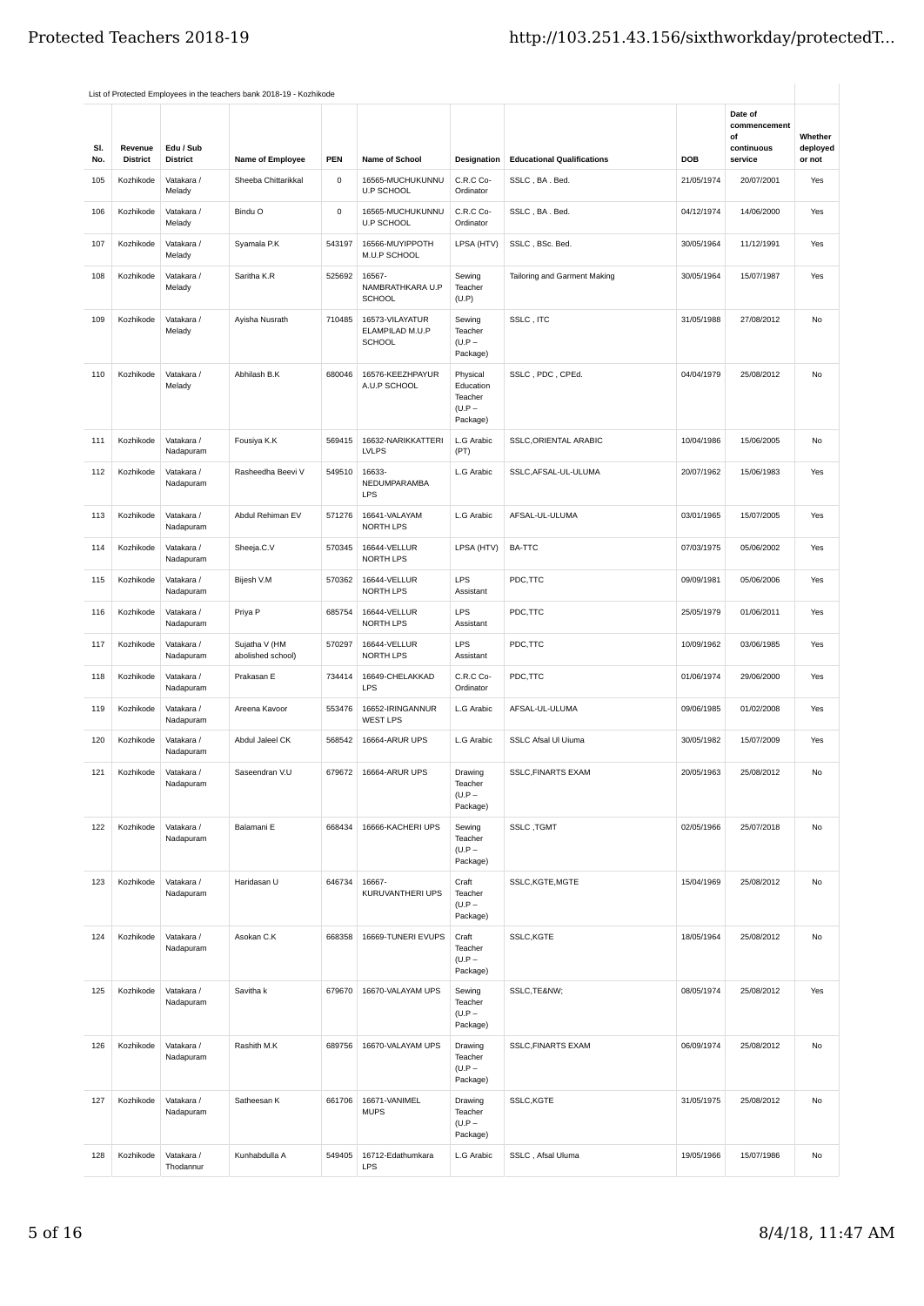|            |                            |                                   | List of Protected Employees in the teachers bank 2018-19 - Kozhikode |             |                                                     |                                                          |                                   |            |                                                        |                               |
|------------|----------------------------|-----------------------------------|----------------------------------------------------------------------|-------------|-----------------------------------------------------|----------------------------------------------------------|-----------------------------------|------------|--------------------------------------------------------|-------------------------------|
| SI.<br>No. | Revenue<br><b>District</b> | Edu / Sub<br><b>District</b>      | Name of Employee                                                     | PEN         | Name of School                                      | Designation                                              | <b>Educational Qualifications</b> | <b>DOB</b> | Date of<br>commencement<br>οf<br>continuous<br>service | Whether<br>deployed<br>or not |
| 105        | Kozhikode                  | Vatakara /                        | Sheeba Chittarikkal                                                  | $\mathsf 0$ | 16565-MUCHUKUNNU                                    | C.R.C Co-                                                | SSLC, BA. Bed.                    | 21/05/1974 | 20/07/2001                                             | Yes                           |
|            |                            | Melady                            |                                                                      |             | <b>U.P SCHOOL</b>                                   | Ordinator                                                |                                   |            |                                                        |                               |
| 106        | Kozhikode                  | Vatakara /<br>Melady              | Bindu O                                                              | 0           | 16565-MUCHUKUNNU<br><b>U.P SCHOOL</b>               | C.R.C Co-<br>Ordinator                                   | SSLC, BA. Bed.                    | 04/12/1974 | 14/06/2000                                             | Yes                           |
| 107        | Kozhikode                  | Vatakara /<br>Melady              | Syamala P.K                                                          | 543197      | 16566-MUYIPPOTH<br>M.U.P SCHOOL                     | LPSA (HTV)                                               | SSLC, BSc. Bed.                   | 30/05/1964 | 11/12/1991                                             | Yes                           |
| 108        | Kozhikode                  | Vatakara /<br>Melady              | Saritha K.R                                                          | 525692      | 16567-<br>NAMBRATHKARA U.P<br>SCHOOL                | Sewing<br>Teacher<br>(U.P)                               | Tailoring and Garment Making      | 30/05/1964 | 15/07/1987                                             | Yes                           |
| 109        | Kozhikode                  | Vatakara /<br>Melady              | Ayisha Nusrath                                                       | 710485      | 16573-VILAYATUR<br>ELAMPILAD M.U.P<br><b>SCHOOL</b> | Sewing<br>Teacher<br>$(U.P -$<br>Package)                | SSLC, ITC                         | 31/05/1988 | 27/08/2012                                             | No                            |
| 110        | Kozhikode                  | Vatakara /<br>Melady              | Abhilash B.K                                                         | 680046      | 16576-KEEZHPAYUR<br>A.U.P SCHOOL                    | Physical<br>Education<br>Teacher<br>$(U.P -$<br>Package) | SSLC, PDC, CPEd.                  | 04/04/1979 | 25/08/2012                                             | No                            |
| 111        | Kozhikode                  | Vatakara /<br>Nadapuram           | Fousiya K.K                                                          | 569415      | 16632-NARIKKATTERI<br><b>LVLPS</b>                  | L.G Arabic<br>(PT)                                       | SSLC, ORIENTAL ARABIC             | 10/04/1986 | 15/06/2005                                             | No                            |
| 112        | Kozhikode                  | Vatakara /<br>Nadapuram           | Rasheedha Beevi V                                                    | 549510      | 16633-<br>NEDUMPARAMBA<br>LPS                       | L.G Arabic                                               | SSLC, AFSAL-UL-ULUMA              | 20/07/1962 | 15/06/1983                                             | Yes                           |
| 113        | Kozhikode                  | Vatakara /<br>Nadapuram           | Abdul Rehiman EV                                                     | 571276      | 16641-VALAYAM<br>NORTH LPS                          | L.G Arabic                                               | AFSAL-UL-ULUMA                    | 03/01/1965 | 15/07/2005                                             | Yes                           |
| 114        | Kozhikode                  | Vatakara /<br>Nadapuram           | Sheeja.C.V                                                           | 570345      | 16644-VELLUR<br>NORTH LPS                           | LPSA (HTV)                                               | <b>BA-TTC</b>                     | 07/03/1975 | 05/06/2002                                             | Yes                           |
| 115        | Kozhikode                  | Vatakara /<br>Nadapuram           | Bijesh V.M                                                           | 570362      | 16644-VELLUR<br>NORTH LPS                           | <b>LPS</b><br>Assistant                                  | PDC,TTC                           | 09/09/1981 | 05/06/2006                                             | Yes                           |
| 116        | Kozhikode                  | Vatakara /<br>Nadapuram           | Priya P                                                              | 685754      | 16644-VELLUR<br>NORTH LPS                           | LPS<br>Assistant                                         | PDC,TTC                           | 25/05/1979 | 01/06/2011                                             | Yes                           |
| 117        | Kozhikode                  | Vatakara /<br>Nadapuram           | Sujatha V (HM<br>abolished school)                                   | 570297      | 16644-VELLUR<br>NORTH LPS                           | LPS<br>Assistant                                         | PDC,TTC                           | 10/09/1962 | 03/06/1985                                             | Yes                           |
| 118        | Kozhikode                  | Vatakara /<br>Nadapuram           | Prakasan E                                                           | 734414      | 16649-CHELAKKAD<br>LPS                              | C.R.C Co-<br>Ordinator                                   | PDC,TTC                           | 01/06/1974 | 29/06/2000                                             | Yes                           |
| 119        | Kozhikode                  | Vatakara /<br>Nadapuram           | Areena Kavoor                                                        | 553476      | 16652-IRINGANNUR<br><b>WEST LPS</b>                 | L.G Arabic                                               | AFSAL-UL-ULUMA                    | 09/06/1985 | 01/02/2008                                             | Yes                           |
| 120        | Kozhikode                  | Vatakara /<br>Nadapuram           | Abdul Jaleel CK                                                      | 568542      | 16664-ARUR UPS                                      | L.G Arabic                                               | SSLC Afsal UI Uiuma               | 30/05/1982 | 15/07/2009                                             | Yes                           |
| 121        |                            | Kozhikode Vatakara /<br>Nadapuram | Saseendran V.U                                                       |             | 679672 16664-ARUR UPS                               | Drawing<br>Teacher<br>$(U.P -$<br>Package)               | SSLC, FINARTS EXAM                | 20/05/1963 | 25/08/2012                                             | $\mathsf{No}$                 |
| 122        | Kozhikode                  | Vatakara /<br>Nadapuram           | Balamani E                                                           | 668434      | 16666-KACHERI UPS                                   | Sewing<br>Teacher<br>$(U.P -$<br>Package)                | SSLC, TGMT                        | 02/05/1966 | 25/07/2018                                             | No                            |
| 123        | Kozhikode                  | Vatakara /<br>Nadapuram           | Haridasan U                                                          | 646734      | 16667-<br>KURUVANTHERI UPS                          | Craft<br>Teacher<br>$(U.P -$<br>Package)                 | SSLC, KGTE, MGTE                  | 15/04/1969 | 25/08/2012                                             | No                            |
| 124        | Kozhikode                  | Vatakara /<br>Nadapuram           | Asokan C.K                                                           | 668358      | 16669-TUNERI EVUPS                                  | Craft<br>Teacher<br>$(U.P -$<br>Package)                 | SSLC, KGTE                        | 18/05/1964 | 25/08/2012                                             | No                            |
| 125        | Kozhikode                  | Vatakara /<br>Nadapuram           | Savitha k                                                            | 679670      | 16670-VALAYAM UPS                                   | Sewing<br>Teacher<br>$(U.P -$<br>Package)                | SSLC, TE&NW                       | 08/05/1974 | 25/08/2012                                             | Yes                           |
| 126        | Kozhikode                  | Vatakara /<br>Nadapuram           | Rashith M.K                                                          | 689756      | 16670-VALAYAM UPS                                   | Drawing<br>Teacher<br>$(U.P -$<br>Package)               | <b>SSLC, FINARTS EXAM</b>         | 06/09/1974 | 25/08/2012                                             | No                            |
| 127        | Kozhikode                  | Vatakara /<br>Nadapuram           | Satheesan K                                                          | 661706      | 16671-VANIMEL<br><b>MUPS</b>                        | Drawing<br>Teacher<br>$(U.P -$<br>Package)               | SSLC,KGTE                         | 31/05/1975 | 25/08/2012                                             | No                            |
| 128        | Kozhikode                  | Vatakara /<br>Thodannur           | Kunhabdulla A                                                        | 549405      | 16712-Edathumkara<br><b>LPS</b>                     | L.G Arabic                                               | SSLC, Afsal Uluma                 | 19/05/1966 | 15/07/1986                                             | No                            |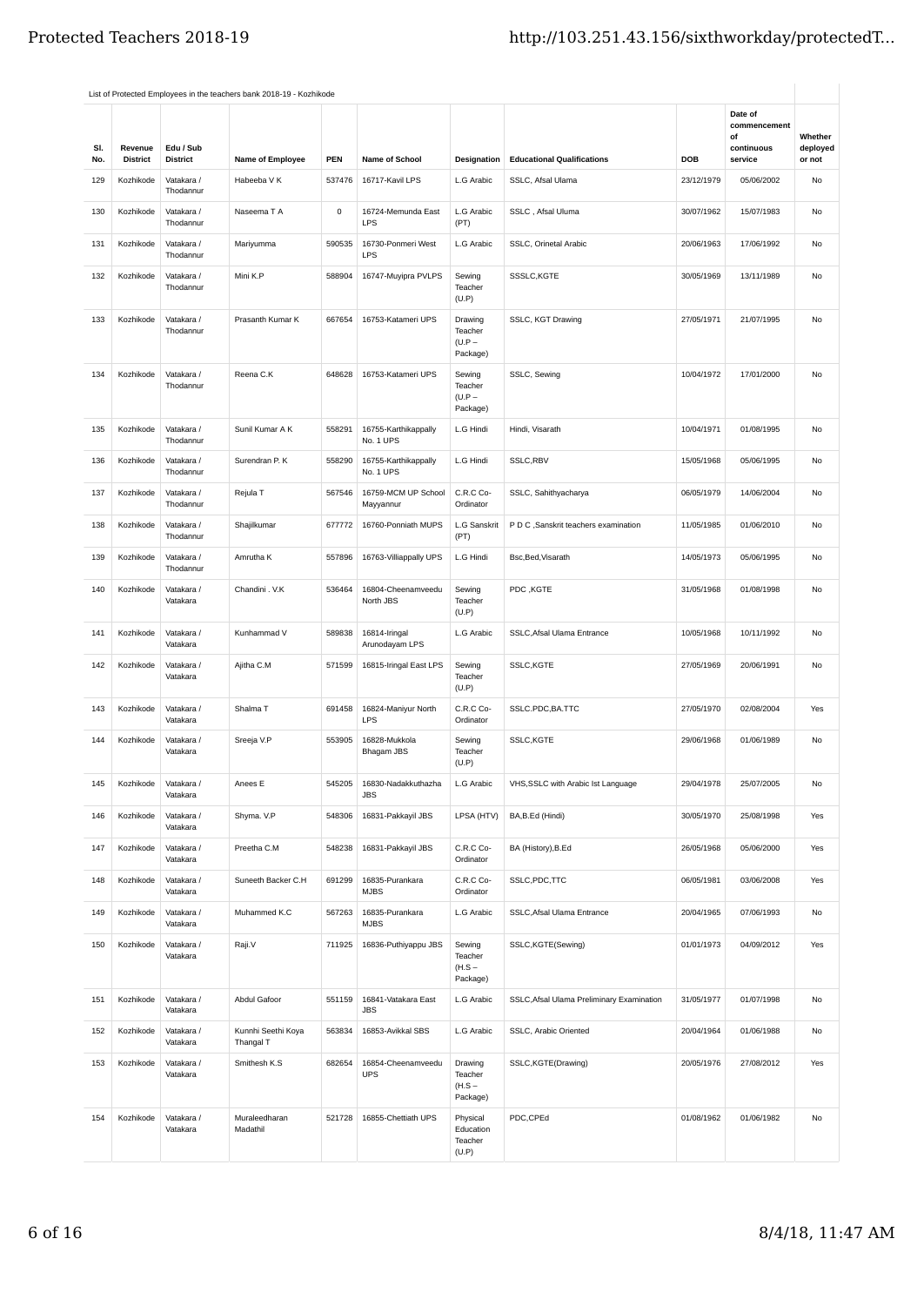|            |                            |                              | List of Protected Employees in the teachers bank 2018-19 - Kozhikode |                |                                   |                                            |                                           |            |                               |                    |
|------------|----------------------------|------------------------------|----------------------------------------------------------------------|----------------|-----------------------------------|--------------------------------------------|-------------------------------------------|------------|-------------------------------|--------------------|
|            |                            |                              |                                                                      |                |                                   |                                            |                                           |            | Date of<br>commencement<br>of | Whether            |
| SI.<br>No. | Revenue<br><b>District</b> | Edu / Sub<br><b>District</b> | Name of Employee                                                     | PEN            | Name of School                    | Designation                                | <b>Educational Qualifications</b>         | DOB        | continuous<br>service         | deployed<br>or not |
| 129        | Kozhikode                  | Vatakara /<br>Thodannur      | Habeeba V K                                                          | 537476         | 16717-Kavil LPS                   | L.G Arabic                                 | SSLC, Afsal Ulama                         | 23/12/1979 | 05/06/2002                    | No                 |
| 130        | Kozhikode                  | Vatakara /<br>Thodannur      | Naseema T A                                                          | $\mathsf{o}\,$ | 16724-Memunda East<br>LPS         | L.G Arabic<br>(PT)                         | SSLC, Afsal Uluma                         | 30/07/1962 | 15/07/1983                    | No                 |
| 131        | Kozhikode                  | Vatakara /<br>Thodannur      | Mariyumma                                                            | 590535         | 16730-Ponmeri West<br>LPS         | L.G Arabic                                 | SSLC, Orinetal Arabic                     | 20/06/1963 | 17/06/1992                    | <b>No</b>          |
| 132        | Kozhikode                  | Vatakara /<br>Thodannur      | Mini K.P                                                             | 588904         | 16747-Muyipra PVLPS               | Sewing<br>Teacher<br>(U.P)                 | SSSLC, KGTE                               | 30/05/1969 | 13/11/1989                    | No                 |
| 133        | Kozhikode                  | Vatakara /<br>Thodannur      | Prasanth Kumar K                                                     | 667654         | 16753-Katameri UPS                | Drawing<br>Teacher<br>$(U.P -$<br>Package) | SSLC, KGT Drawing                         | 27/05/1971 | 21/07/1995                    | No                 |
| 134        | Kozhikode                  | Vatakara /<br>Thodannur      | Reena C.K                                                            | 648628         | 16753-Katameri UPS                | Sewing<br>Teacher<br>$(U.P -$<br>Package)  | SSLC, Sewing                              | 10/04/1972 | 17/01/2000                    | <b>No</b>          |
| 135        | Kozhikode                  | Vatakara /<br>Thodannur      | Sunil Kumar A K                                                      | 558291         | 16755-Karthikappally<br>No. 1 UPS | L.G Hindi                                  | Hindi, Visarath                           | 10/04/1971 | 01/08/1995                    | No                 |
| 136        | Kozhikode                  | Vatakara /<br>Thodannur      | Surendran P. K                                                       | 558290         | 16755-Karthikappally<br>No. 1 UPS | L.G Hindi                                  | SSLC,RBV                                  | 15/05/1968 | 05/06/1995                    | No                 |
| 137        | Kozhikode                  | Vatakara /<br>Thodannur      | Rejula T                                                             | 567546         | 16759-MCM UP School<br>Mayyannur  | C.R.C Co-<br>Ordinator                     | SSLC, Sahithyacharya                      | 06/05/1979 | 14/06/2004                    | No                 |
| 138        | Kozhikode                  | Vatakara /<br>Thodannur      | Shajilkumar                                                          | 677772         | 16760-Ponniath MUPS               | <b>L.G Sanskrit</b><br>(PT)                | P D C , Sanskrit teachers examination     | 11/05/1985 | 01/06/2010                    | No                 |
| 139        | Kozhikode                  | Vatakara /<br>Thodannur      | Amrutha K                                                            | 557896         | 16763-Villiappally UPS            | L.G Hindi                                  | Bsc, Bed, Visarath                        | 14/05/1973 | 05/06/1995                    | No                 |
| 140        | Kozhikode                  | Vatakara /<br>Vatakara       | Chandini . V.K                                                       | 536464         | 16804-Cheenamveedu<br>North JBS   | Sewing<br>Teacher<br>(U.P)                 | PDC, KGTE                                 | 31/05/1968 | 01/08/1998                    | No                 |
| 141        | Kozhikode                  | Vatakara /<br>Vatakara       | Kunhammad V                                                          | 589838         | 16814-Iringal<br>Arunodayam LPS   | L.G Arabic                                 | SSLC, Afsal Ulama Entrance                | 10/05/1968 | 10/11/1992                    | No                 |
| 142        | Kozhikode                  | Vatakara /<br>Vatakara       | Ajitha C.M                                                           | 571599         | 16815-Iringal East LPS            | Sewing<br>Teacher<br>(U.P)                 | SSLC,KGTE                                 | 27/05/1969 | 20/06/1991                    | No                 |
| 143        | Kozhikode                  | Vatakara /<br>Vatakara       | Shalma T                                                             | 691458         | 16824-Maniyur North<br><b>LPS</b> | C.R.C Co-<br>Ordinator                     | SSLC.PDC,BA.TTC                           | 27/05/1970 | 02/08/2004                    | Yes                |
| 144        | Kozhikode                  | Vatakara /<br>Vatakara       | Sreeja V.P                                                           | 553905         | 16828-Mukkola<br>Bhagam JBS       | Sewing<br>Teacher<br>(U.P)                 | SSLC,KGTE                                 | 29/06/1968 | 01/06/1989                    | No                 |
| 145        | Kozhikode                  | Vatakara /<br>Vatakara       | Anees E                                                              | 545205         | 16830-Nadakkuthazha<br><b>JBS</b> | L.G Arabic                                 | VHS, SSLC with Arabic Ist Language        | 29/04/1978 | 25/07/2005                    | No                 |
| 146        | Kozhikode                  | Vatakara /<br>Vatakara       | Shyma. V.P                                                           | 548306         | 16831-Pakkayil JBS                | LPSA (HTV)                                 | BA, B.Ed (Hindi)                          | 30/05/1970 | 25/08/1998                    | Yes                |
| 147        | Kozhikode                  | Vatakara /<br>Vatakara       | Preetha C.M                                                          | 548238         | 16831-Pakkayil JBS                | C.R.C Co-<br>Ordinator                     | BA (History), B.Ed                        | 26/05/1968 | 05/06/2000                    | Yes                |
| 148        | Kozhikode                  | Vatakara /<br>Vatakara       | Suneeth Backer C.H                                                   | 691299         | 16835-Purankara<br><b>MJBS</b>    | C.R.C Co-<br>Ordinator                     | SSLC, PDC, TTC                            | 06/05/1981 | 03/06/2008                    | Yes                |
| 149        | Kozhikode                  | Vatakara /<br>Vatakara       | Muhammed K.C                                                         | 567263         | 16835-Purankara<br><b>MJBS</b>    | L.G Arabic                                 | SSLC, Afsal Ulama Entrance                | 20/04/1965 | 07/06/1993                    | No                 |
| 150        | Kozhikode                  | Vatakara /<br>Vatakara       | Raji.V                                                               | 711925         | 16836-Puthiyappu JBS              | Sewing<br>Teacher<br>$(H.S -$<br>Package)  | SSLC, KGTE(Sewing)                        | 01/01/1973 | 04/09/2012                    | Yes                |
| 151        | Kozhikode                  | Vatakara /<br>Vatakara       | Abdul Gafoor                                                         | 551159         | 16841-Vatakara East<br><b>JBS</b> | L.G Arabic                                 | SSLC, Afsal Ulama Preliminary Examination | 31/05/1977 | 01/07/1998                    | No                 |
| 152        | Kozhikode                  | Vatakara /<br>Vatakara       | Kunnhi Seethi Koya<br>Thangal T                                      | 563834         | 16853-Avikkal SBS                 | L.G Arabic                                 | SSLC, Arabic Oriented                     | 20/04/1964 | 01/06/1988                    | No                 |
| 153        | Kozhikode                  | Vatakara /<br>Vatakara       | Smithesh K.S                                                         | 682654         | 16854-Cheenamveedu<br><b>UPS</b>  | Drawing<br>Teacher<br>$(H.S -$<br>Package) | SSLC,KGTE(Drawing)                        | 20/05/1976 | 27/08/2012                    | Yes                |
| 154        | Kozhikode                  | Vatakara /<br>Vatakara       | Muraleedharan<br>Madathil                                            | 521728         | 16855-Chettiath UPS               | Physical<br>Education<br>Teacher<br>(U.P)  | PDC,CPEd                                  | 01/08/1962 | 01/06/1982                    | No                 |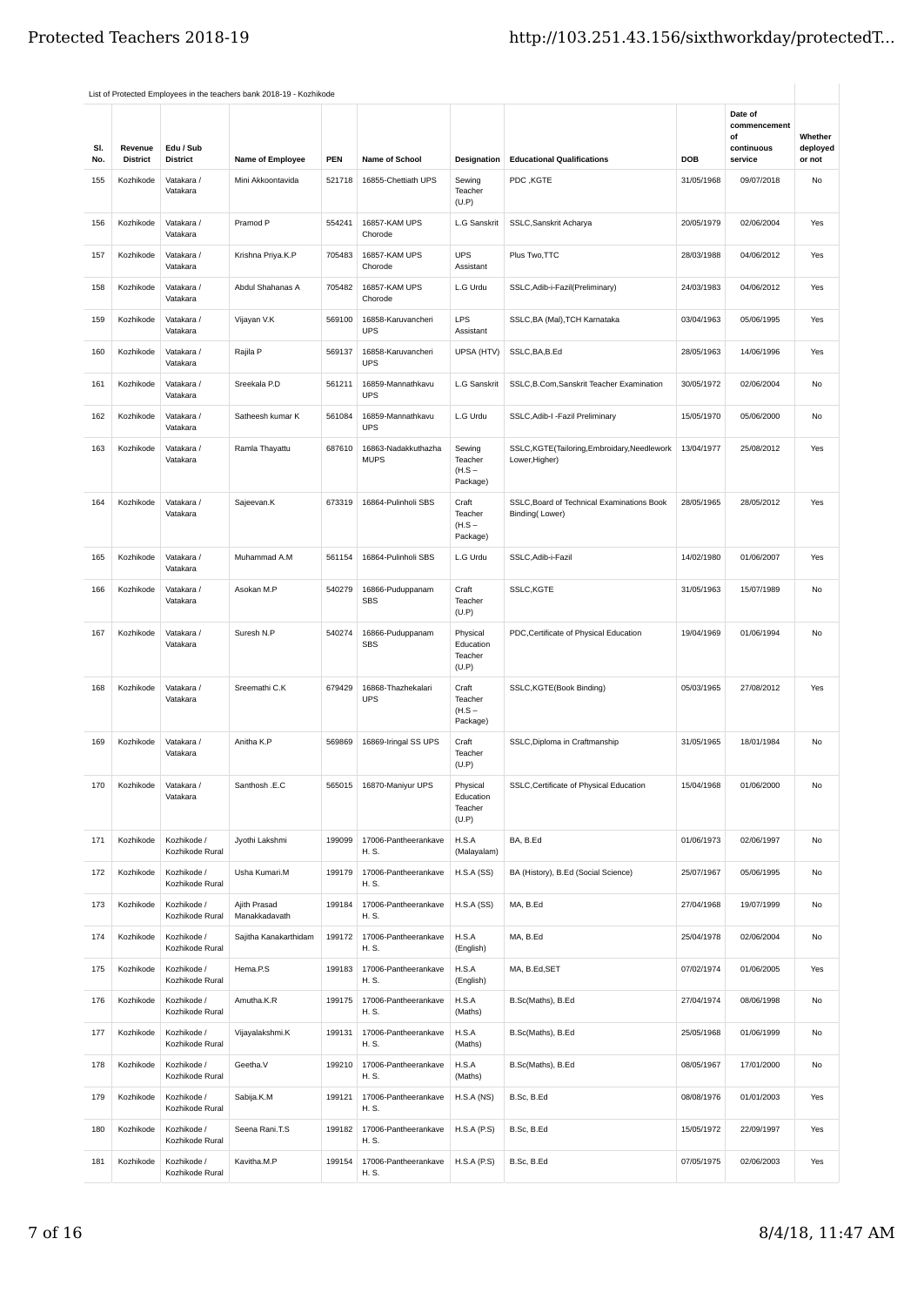|            |                            |                                | List of Protected Employees in the teachers bank 2018-19 - Kozhikode |            |                                    |                                           |                                                              |            |                                                        |                               |
|------------|----------------------------|--------------------------------|----------------------------------------------------------------------|------------|------------------------------------|-------------------------------------------|--------------------------------------------------------------|------------|--------------------------------------------------------|-------------------------------|
| SI.<br>No. | Revenue<br><b>District</b> | Edu / Sub<br><b>District</b>   | <b>Name of Employee</b>                                              | <b>PEN</b> | <b>Name of School</b>              | Designation                               | <b>Educational Qualifications</b>                            | DOB        | Date of<br>commencement<br>of<br>continuous<br>service | Whether<br>deployed<br>or not |
| 155        | Kozhikode                  | Vatakara /<br>Vatakara         | Mini Akkoontavida                                                    | 521718     | 16855-Chettiath UPS                | Sewing<br>Teacher                         | PDC, KGTE                                                    | 31/05/1968 | 09/07/2018                                             | No                            |
|            |                            |                                |                                                                      |            |                                    | (U.P)                                     |                                                              |            |                                                        |                               |
| 156        | Kozhikode                  | Vatakara /<br>Vatakara         | Pramod P                                                             | 554241     | 16857-KAM UPS<br>Chorode           | L.G Sanskrit                              | SSLC, Sanskrit Acharya                                       | 20/05/1979 | 02/06/2004                                             | Yes                           |
| 157        | Kozhikode                  | Vatakara /<br>Vatakara         | Krishna Priya.K.P                                                    | 705483     | 16857-KAM UPS<br>Chorode           | <b>UPS</b><br>Assistant                   | Plus Two, TTC                                                | 28/03/1988 | 04/06/2012                                             | Yes                           |
| 158        | Kozhikode                  | Vatakara /<br>Vatakara         | Abdul Shahanas A                                                     | 705482     | 16857-KAM UPS<br>Chorode           | L.G Urdu                                  | SSLC, Adib-i-Fazil (Preliminary)                             | 24/03/1983 | 04/06/2012                                             | Yes                           |
| 159        | Kozhikode                  | Vatakara /<br>Vatakara         | Vijayan V.K                                                          | 569100     | 16858-Karuvancheri<br><b>UPS</b>   | <b>LPS</b><br>Assistant                   | SSLC, BA (Mal), TCH Karnataka                                | 03/04/1963 | 05/06/1995                                             | Yes                           |
| 160        | Kozhikode                  | Vatakara /<br>Vatakara         | Rajila P                                                             | 569137     | 16858-Karuvancheri<br><b>UPS</b>   | UPSA (HTV)                                | SSLC, BA, B.Ed                                               | 28/05/1963 | 14/06/1996                                             | Yes                           |
| 161        | Kozhikode                  | Vatakara /<br>Vatakara         | Sreekala P.D                                                         | 561211     | 16859-Mannathkavu<br><b>UPS</b>    | L.G Sanskrit                              | SSLC, B.Com, Sanskrit Teacher Examination                    | 30/05/1972 | 02/06/2004                                             | <b>No</b>                     |
| 162        | Kozhikode                  | Vatakara /<br>Vatakara         | Satheesh kumar K                                                     | 561084     | 16859-Mannathkavu<br><b>UPS</b>    | L.G Urdu                                  | SSLC, Adib-I - Fazil Preliminary                             | 15/05/1970 | 05/06/2000                                             | No                            |
| 163        | Kozhikode                  | Vatakara /<br>Vatakara         | Ramla Thayattu                                                       | 687610     | 16863-Nadakkuthazha<br><b>MUPS</b> | Sewing<br>Teacher<br>$(H.S -$<br>Package) | SSLC,KGTE(Tailoring,Embroidary,Needlework<br>Lower, Higher)  | 13/04/1977 | 25/08/2012                                             | Yes                           |
| 164        | Kozhikode                  | Vatakara /<br>Vatakara         | Sajeevan.K                                                           | 673319     | 16864-Pulinholi SBS                | Craft<br>Teacher<br>$(H.S -$<br>Package)  | SSLC, Board of Technical Examinations Book<br>Binding(Lower) | 28/05/1965 | 28/05/2012                                             | Yes                           |
| 165        | Kozhikode                  | Vatakara /<br>Vatakara         | Muhammad A.M                                                         | 561154     | 16864-Pulinholi SBS                | L.G Urdu                                  | SSLC, Adib-i-Fazil                                           | 14/02/1980 | 01/06/2007                                             | Yes                           |
| 166        | Kozhikode                  | Vatakara /<br>Vatakara         | Asokan M.P                                                           | 540279     | 16866-Puduppanam<br><b>SBS</b>     | Craft<br>Teacher<br>(U.P)                 | SSLC,KGTE                                                    | 31/05/1963 | 15/07/1989                                             | No                            |
| 167        | Kozhikode                  | Vatakara /<br>Vatakara         | Suresh N.P                                                           | 540274     | 16866-Puduppanam<br><b>SBS</b>     | Physical<br>Education<br>Teacher<br>(U.P) | PDC, Certificate of Physical Education                       | 19/04/1969 | 01/06/1994                                             | <b>No</b>                     |
| 168        | Kozhikode                  | Vatakara /<br>Vatakara         | Sreemathi C.K                                                        | 679429     | 16868-Thazhekalari<br><b>UPS</b>   | Craft<br>Teacher<br>$(H.S -$<br>Package)  | SSLC, KGTE(Book Binding)                                     | 05/03/1965 | 27/08/2012                                             | Yes                           |
| 169        | Kozhikode                  | Vatakara /<br>Vatakara         | Anitha K.P                                                           | 569869     | 16869-Iringal SS UPS               | Craft<br>Teacher<br>(U.P)                 | SSLC, Diploma in Craftmanship                                | 31/05/1965 | 18/01/1984                                             | <b>No</b>                     |
| 170        | Kozhikode                  | Vatakara /<br>Vatakara         | Santhosh .E.C                                                        | 565015     | 16870-Maniyur UPS                  | Physical<br>Education<br>Teacher<br>(U.P) | SSLC, Certificate of Physical Education                      | 15/04/1968 | 01/06/2000                                             | No                            |
| 171        | Kozhikode                  | Kozhikode /<br>Kozhikode Rural | Jyothi Lakshmi                                                       | 199099     | 17006-Pantheerankave<br>H. S.      | H.S.A<br>(Malayalam)                      | BA, B.Ed                                                     | 01/06/1973 | 02/06/1997                                             | No                            |
| 172        | Kozhikode                  | Kozhikode /<br>Kozhikode Rural | Usha Kumari.M                                                        | 199179     | 17006-Pantheerankave<br>H. S.      | H.S.A(SS)                                 | BA (History), B.Ed (Social Science)                          | 25/07/1967 | 05/06/1995                                             | No                            |
| 173        | Kozhikode                  | Kozhikode /<br>Kozhikode Rural | Ajith Prasad<br>Manakkadavath                                        | 199184     | 17006-Pantheerankave<br>H. S.      | H.S.A(SS)                                 | MA, B.Ed                                                     | 27/04/1968 | 19/07/1999                                             | No                            |
| 174        | Kozhikode                  | Kozhikode /<br>Kozhikode Rural | Sajitha Kanakarthidam                                                | 199172     | 17006-Pantheerankave<br>H. S.      | H.S.A<br>(English)                        | MA, B.Ed                                                     | 25/04/1978 | 02/06/2004                                             | No                            |
| 175        | Kozhikode                  | Kozhikode /<br>Kozhikode Rural | Hema.P.S                                                             | 199183     | 17006-Pantheerankave<br>H. S.      | H.S.A<br>(English)                        | MA, B.Ed, SET                                                | 07/02/1974 | 01/06/2005                                             | Yes                           |
| 176        | Kozhikode                  | Kozhikode /<br>Kozhikode Rural | Amutha.K.R                                                           | 199175     | 17006-Pantheerankave<br>H. S.      | H.S.A<br>(Maths)                          | B.Sc(Maths), B.Ed                                            | 27/04/1974 | 08/06/1998                                             | No                            |
| 177        | Kozhikode                  | Kozhikode /<br>Kozhikode Rural | Vijayalakshmi.K                                                      | 199131     | 17006-Pantheerankave<br>H. S.      | H.S.A<br>(Maths)                          | B.Sc(Maths), B.Ed                                            | 25/05/1968 | 01/06/1999                                             | No                            |
| 178        | Kozhikode                  | Kozhikode /<br>Kozhikode Rural | Geetha.V                                                             | 199210     | 17006-Pantheerankave<br>H. S.      | H.S.A<br>(Maths)                          | B.Sc(Maths), B.Ed                                            | 08/05/1967 | 17/01/2000                                             | No                            |
| 179        | Kozhikode                  | Kozhikode /<br>Kozhikode Rural | Sabija.K.M                                                           | 199121     | 17006-Pantheerankave<br>H. S.      | H.S.A(NS)                                 | B.Sc, B.Ed                                                   | 08/08/1976 | 01/01/2003                                             | Yes                           |
| 180        | Kozhikode                  | Kozhikode /<br>Kozhikode Rural | Seena Rani.T.S                                                       | 199182     | 17006-Pantheerankave<br>H. S.      | <b>H.S.A (P.S)</b>                        | B.Sc, B.Ed                                                   | 15/05/1972 | 22/09/1997                                             | Yes                           |
| 181        | Kozhikode                  | Kozhikode /<br>Kozhikode Rural | Kavitha.M.P                                                          | 199154     | 17006-Pantheerankave<br>H. S.      | <b>H.S.A (P.S)</b>                        | B.Sc, B.Ed                                                   | 07/05/1975 | 02/06/2003                                             | Yes                           |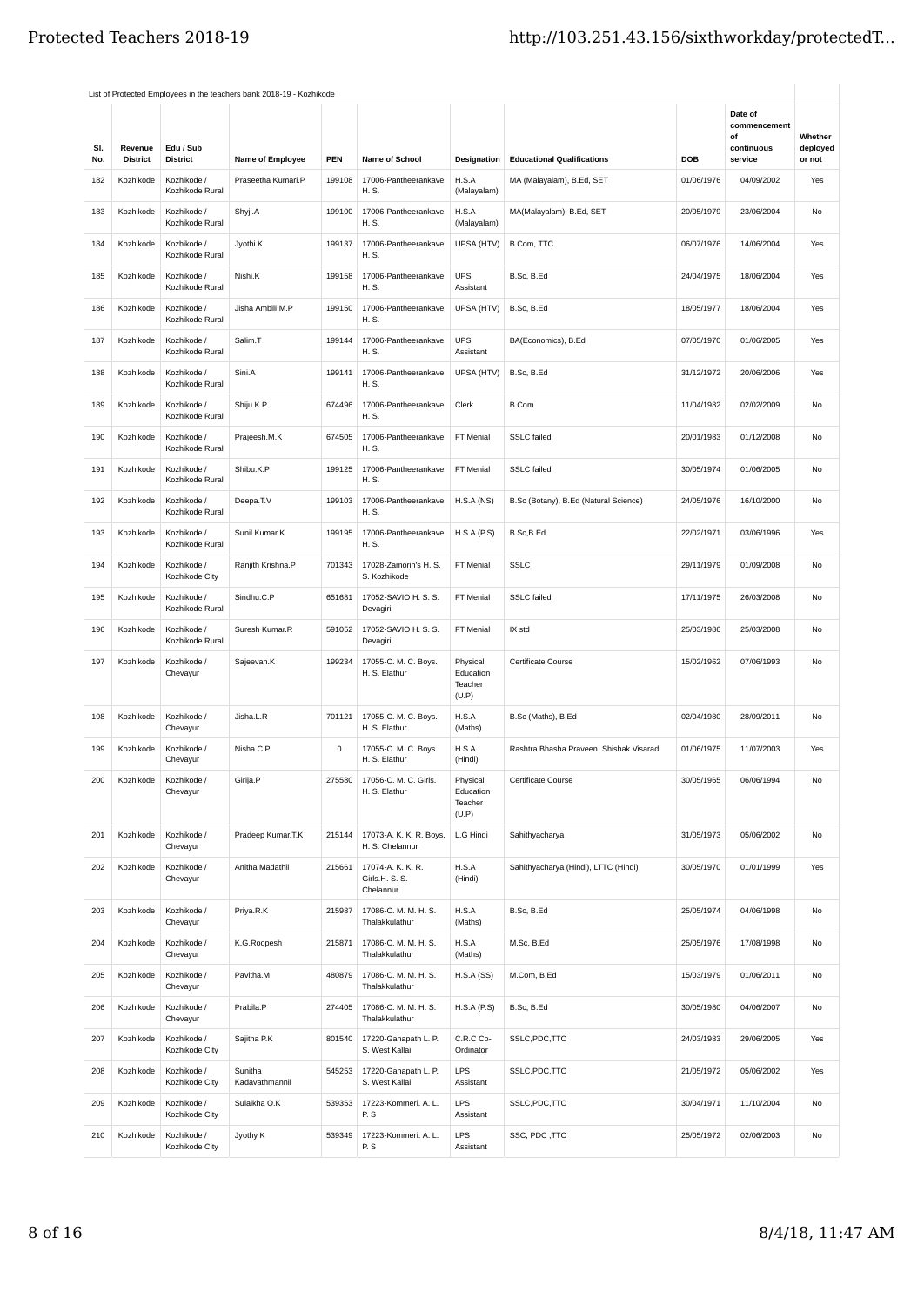|            |                            |                                | List of Protected Employees in the teachers bank 2018-19 - Kozhikode |        |                                                  |                                           |                                         |            |                                                        |                               |
|------------|----------------------------|--------------------------------|----------------------------------------------------------------------|--------|--------------------------------------------------|-------------------------------------------|-----------------------------------------|------------|--------------------------------------------------------|-------------------------------|
| SI.<br>No. | Revenue<br><b>District</b> | Edu / Sub<br><b>District</b>   | Name of Employee                                                     | PEN    | Name of School                                   | Designation                               | <b>Educational Qualifications</b>       | DOB        | Date of<br>commencement<br>of<br>continuous<br>service | Whether<br>deployed<br>or not |
| 182        | Kozhikode                  | Kozhikode /                    | Praseetha Kumari.P                                                   | 199108 | 17006-Pantheerankave                             | H.S.A                                     | MA (Malayalam), B.Ed, SET               | 01/06/1976 | 04/09/2002                                             | Yes                           |
|            |                            | Kozhikode Rural                |                                                                      |        | H. S.                                            | (Malayalam)                               |                                         |            |                                                        |                               |
| 183        | Kozhikode                  | Kozhikode /<br>Kozhikode Rural | Shyji.A                                                              | 199100 | 17006-Pantheerankave<br>H. S.                    | H.S.A<br>(Malayalam)                      | MA(Malayalam), B.Ed, SET                | 20/05/1979 | 23/06/2004                                             | No                            |
| 184        | Kozhikode                  | Kozhikode /<br>Kozhikode Rural | Jyothi.K                                                             | 199137 | 17006-Pantheerankave<br>H. S.                    | UPSA (HTV)                                | B.Com, TTC                              | 06/07/1976 | 14/06/2004                                             | Yes                           |
| 185        | Kozhikode                  | Kozhikode /<br>Kozhikode Rural | Nishi.K                                                              | 199158 | 17006-Pantheerankave<br>H. S.                    | <b>UPS</b><br>Assistant                   | B.Sc, B.Ed                              | 24/04/1975 | 18/06/2004                                             | Yes                           |
| 186        | Kozhikode                  | Kozhikode /<br>Kozhikode Rural | Jisha Ambili.M.P                                                     | 199150 | 17006-Pantheerankave<br>H. S.                    | UPSA (HTV)                                | B.Sc, B.Ed                              | 18/05/1977 | 18/06/2004                                             | Yes                           |
| 187        | Kozhikode                  | Kozhikode /<br>Kozhikode Rural | Salim.T                                                              | 199144 | 17006-Pantheerankave<br>H. S.                    | <b>UPS</b><br>Assistant                   | BA(Economics), B.Ed                     | 07/05/1970 | 01/06/2005                                             | Yes                           |
| 188        | Kozhikode                  | Kozhikode /<br>Kozhikode Rural | Sini.A                                                               | 199141 | 17006-Pantheerankave<br>H. S.                    | UPSA (HTV)                                | B.Sc, B.Ed                              | 31/12/1972 | 20/06/2006                                             | Yes                           |
| 189        | Kozhikode                  | Kozhikode /<br>Kozhikode Rural | Shiju.K.P                                                            | 674496 | 17006-Pantheerankave<br>H. S.                    | Clerk                                     | <b>B.Com</b>                            | 11/04/1982 | 02/02/2009                                             | No                            |
| 190        | Kozhikode                  | Kozhikode /<br>Kozhikode Rural | Prajeesh.M.K                                                         | 674505 | 17006-Pantheerankave<br>H. S.                    | FT Menial                                 | <b>SSLC</b> failed                      | 20/01/1983 | 01/12/2008                                             | No                            |
| 191        | Kozhikode                  | Kozhikode /<br>Kozhikode Rural | Shibu.K.P                                                            | 199125 | 17006-Pantheerankave<br>H. S.                    | FT Menial                                 | <b>SSLC</b> failed                      | 30/05/1974 | 01/06/2005                                             | No                            |
| 192        | Kozhikode                  | Kozhikode /<br>Kozhikode Rural | Deepa.T.V                                                            | 199103 | 17006-Pantheerankave<br>H. S.                    | H.S.A(NS)                                 | B.Sc (Botany), B.Ed (Natural Science)   | 24/05/1976 | 16/10/2000                                             | No                            |
| 193        | Kozhikode                  | Kozhikode /<br>Kozhikode Rural | Sunil Kumar.K                                                        | 199195 | 17006-Pantheerankave<br>H. S.                    | H.S.A(P.S)                                | B.Sc,B.Ed                               | 22/02/1971 | 03/06/1996                                             | Yes                           |
| 194        | Kozhikode                  | Kozhikode /<br>Kozhikode City  | Ranjith Krishna.P                                                    | 701343 | 17028-Zamorin's H. S.<br>S. Kozhikode            | FT Menial                                 | <b>SSLC</b>                             | 29/11/1979 | 01/09/2008                                             | No                            |
| 195        | Kozhikode                  | Kozhikode /<br>Kozhikode Rural | Sindhu.C.P                                                           | 651681 | 17052-SAVIO H. S. S.<br>Devagiri                 | FT Menial                                 | <b>SSLC</b> failed                      | 17/11/1975 | 26/03/2008                                             | No                            |
| 196        | Kozhikode                  | Kozhikode /<br>Kozhikode Rural | Suresh Kumar.R                                                       | 591052 | 17052-SAVIO H. S. S.<br>Devagiri                 | FT Menial                                 | IX std                                  | 25/03/1986 | 25/03/2008                                             | No                            |
| 197        | Kozhikode                  | Kozhikode /<br>Chevayur        | Sajeevan.K                                                           | 199234 | 17055-C. M. C. Boys.<br>H. S. Elathur            | Physical<br>Education<br>Teacher<br>(U.P) | Certificate Course                      | 15/02/1962 | 07/06/1993                                             | No                            |
| 198        | Kozhikode                  | Kozhikode /<br>Chevayur        | Jisha.L.R                                                            | 701121 | 17055-C. M. C. Boys.<br>H. S. Elathur            | H.S.A<br>(Maths)                          | B.Sc (Maths), B.Ed                      | 02/04/1980 | 28/09/2011                                             | No                            |
| 199        | Kozhikode                  | Kozhikode /<br>Chevayur        | Nisha.C.P                                                            | 0      | 17055-C. M. C. Boys.<br>H. S. Elathur            | H.S.A<br>(Hindi)                          | Rashtra Bhasha Praveen, Shishak Visarad | 01/06/1975 | 11/07/2003                                             | Yes                           |
| 200        | Kozhikode                  | Kozhikode /<br>Chevayur        | Girija.P                                                             | 275580 | 17056-C. M. C. Girls.<br>H. S. Elathur           | Physical<br>Education<br>Teacher<br>(U.P) | Certificate Course                      | 30/05/1965 | 06/06/1994                                             | No                            |
| 201        | Kozhikode                  | Kozhikode /<br>Chevayur        | Pradeep Kumar.T.K                                                    | 215144 | 17073-A. K. K. R. Boys.<br>H. S. Chelannur       | L.G Hindi                                 | Sahithyacharya                          | 31/05/1973 | 05/06/2002                                             | No                            |
| 202        | Kozhikode                  | Kozhikode /<br>Chevayur        | Anitha Madathil                                                      | 215661 | 17074-A. K. K. R.<br>Girls.H. S. S.<br>Chelannur | H.S.A<br>(Hindi)                          | Sahithyacharya (Hindi), LTTC (Hindi)    | 30/05/1970 | 01/01/1999                                             | Yes                           |
| 203        | Kozhikode                  | Kozhikode /<br>Chevayur        | Priya.R.K                                                            | 215987 | 17086-C. M. M. H. S.<br>Thalakkulathur           | H.S.A<br>(Maths)                          | B.Sc, B.Ed                              | 25/05/1974 | 04/06/1998                                             | No                            |
| 204        | Kozhikode                  | Kozhikode /<br>Chevayur        | K.G.Roopesh                                                          | 215871 | 17086-C. M. M. H. S.<br>Thalakkulathur           | H.S.A<br>(Maths)                          | M.Sc, B.Ed                              | 25/05/1976 | 17/08/1998                                             | No                            |
| 205        | Kozhikode                  | Kozhikode /<br>Chevayur        | Pavitha.M                                                            | 480879 | 17086-C. M. M. H. S.<br>Thalakkulathur           | H.S.A(SS)                                 | M.Com, B.Ed                             | 15/03/1979 | 01/06/2011                                             | No                            |
| 206        | Kozhikode                  | Kozhikode /<br>Chevayur        | Prabila.P                                                            | 274405 | 17086-C. M. M. H. S.<br>Thalakkulathur           | H.S.A(P.S)                                | B.Sc, B.Ed                              | 30/05/1980 | 04/06/2007                                             | No                            |
| 207        | Kozhikode                  | Kozhikode /<br>Kozhikode City  | Sajitha P.K                                                          | 801540 | 17220-Ganapath L. P.<br>S. West Kallai           | C.R.C Co-<br>Ordinator                    | SSLC, PDC, TTC                          | 24/03/1983 | 29/06/2005                                             | Yes                           |
| 208        | Kozhikode                  | Kozhikode /<br>Kozhikode City  | Sunitha<br>Kadavathmannil                                            | 545253 | 17220-Ganapath L. P.<br>S. West Kallai           | LPS<br>Assistant                          | SSLC, PDC, TTC                          | 21/05/1972 | 05/06/2002                                             | Yes                           |
| 209        | Kozhikode                  | Kozhikode /<br>Kozhikode City  | Sulaikha O.K                                                         | 539353 | 17223-Kommeri. A. L.<br>P.S                      | <b>LPS</b><br>Assistant                   | SSLC,PDC,TTC                            | 30/04/1971 | 11/10/2004                                             | No                            |
| 210        | Kozhikode                  | Kozhikode /<br>Kozhikode City  | Jyothy K                                                             | 539349 | 17223-Kommeri. A. L.<br>P.S                      | LPS<br>Assistant                          | SSC, PDC, TTC                           | 25/05/1972 | 02/06/2003                                             | No                            |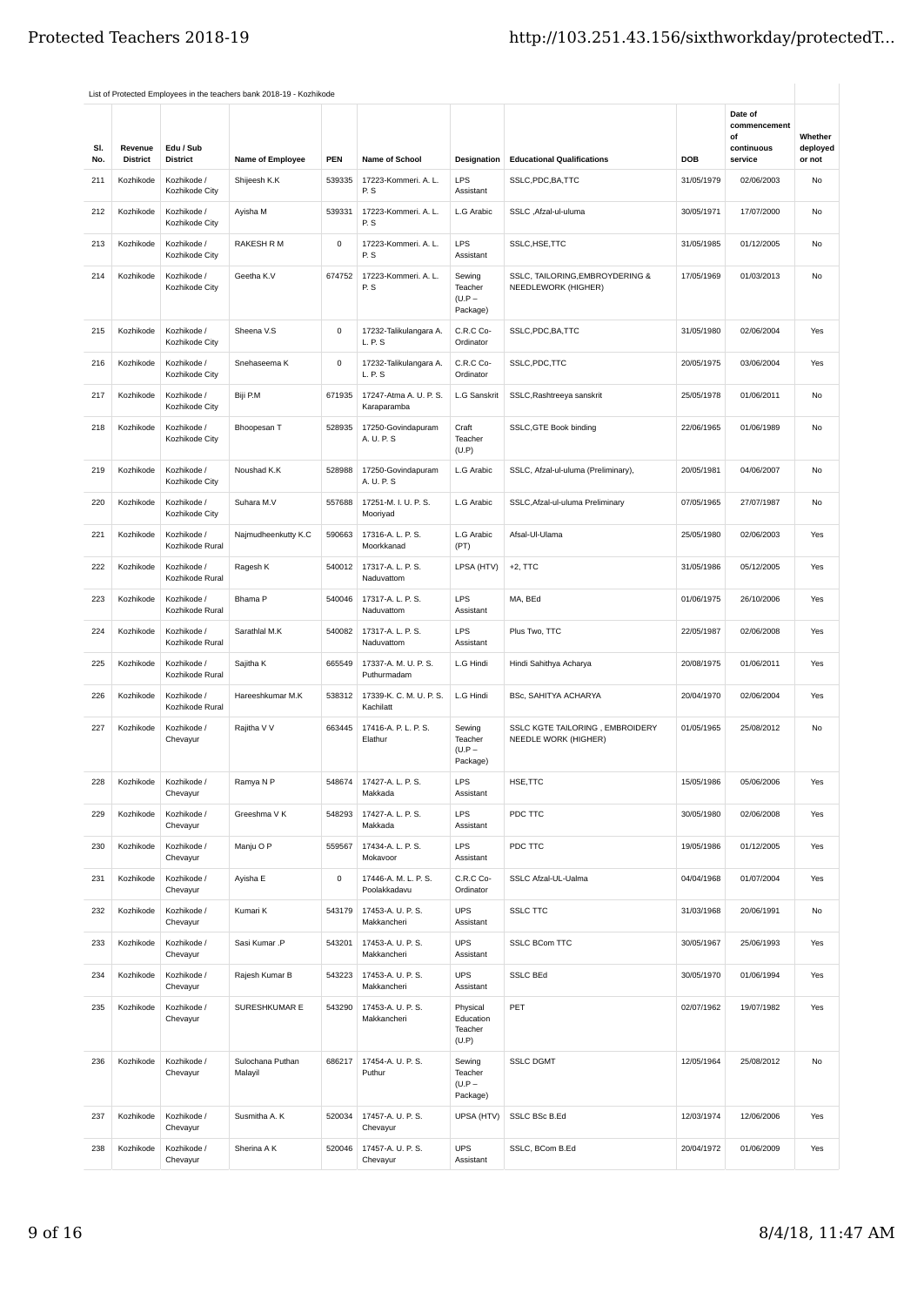|            |                            |                                | List of Protected Employees in the teachers bank 2018-19 - Kozhikode |             |                                       |                                           |                                                         |            |                                                        |                               |
|------------|----------------------------|--------------------------------|----------------------------------------------------------------------|-------------|---------------------------------------|-------------------------------------------|---------------------------------------------------------|------------|--------------------------------------------------------|-------------------------------|
| SI.<br>No. | Revenue<br><b>District</b> | Edu / Sub<br><b>District</b>   | Name of Employee                                                     | PEN         | Name of School                        | <b>Designation</b>                        | <b>Educational Qualifications</b>                       | DOB        | Date of<br>commencement<br>of<br>continuous<br>service | Whether<br>deployed<br>or not |
| 211        | Kozhikode                  | Kozhikode /<br>Kozhikode City  | Shijeesh K.K                                                         | 539335      | 17223-Kommeri. A. L.<br>P.S           | LPS<br>Assistant                          | SSLC, PDC, BA, TTC                                      | 31/05/1979 | 02/06/2003                                             | No                            |
| 212        | Kozhikode                  | Kozhikode /<br>Kozhikode City  | Ayisha M                                                             | 539331      | 17223-Kommeri. A. L.<br>P.S           | L.G Arabic                                | SSLC, Afzal-ul-uluma                                    | 30/05/1971 | 17/07/2000                                             | No                            |
| 213        | Kozhikode                  | Kozhikode /<br>Kozhikode City  | RAKESH R M                                                           | 0           | 17223-Kommeri. A. L.<br>P.S           | <b>LPS</b><br>Assistant                   | SSLC, HSE, TTC                                          | 31/05/1985 | 01/12/2005                                             | No                            |
| 214        | Kozhikode                  | Kozhikode /<br>Kozhikode City  | Geetha K.V                                                           | 674752      | 17223-Kommeri. A. L.<br>P.S           | Sewing<br>Teacher<br>$(U.P -$<br>Package) | SSLC, TAILORING, EMBROYDERING &<br>NEEDLEWORK (HIGHER)  | 17/05/1969 | 01/03/2013                                             | No                            |
| 215        | Kozhikode                  | Kozhikode /<br>Kozhikode City  | Sheena V.S                                                           | $\mathsf 0$ | 17232-Talikulangara A.<br>L. P. S     | C.R.C Co-<br>Ordinator                    | SSLC, PDC, BA, TTC                                      | 31/05/1980 | 02/06/2004                                             | Yes                           |
| 216        | Kozhikode                  | Kozhikode /<br>Kozhikode City  | Snehaseema K                                                         | 0           | 17232-Talikulangara A.<br>L. P. S     | C.R.C Co-<br>Ordinator                    | SSLC, PDC, TTC                                          | 20/05/1975 | 03/06/2004                                             | Yes                           |
| 217        | Kozhikode                  | Kozhikode /<br>Kozhikode City  | Biji P.M                                                             | 671935      | 17247-Atma A. U. P. S.<br>Karaparamba | L.G Sanskrit                              | SSLC, Rashtreeya sanskrit                               | 25/05/1978 | 01/06/2011                                             | <b>No</b>                     |
| 218        | Kozhikode                  | Kozhikode /<br>Kozhikode City  | Bhoopesan T                                                          | 528935      | 17250-Govindapuram<br>A. U. P. S      | Craft<br>Teacher<br>(U.P)                 | SSLC, GTE Book binding                                  | 22/06/1965 | 01/06/1989                                             | No                            |
| 219        | Kozhikode                  | Kozhikode /<br>Kozhikode City  | Noushad K.K                                                          | 528988      | 17250-Govindapuram<br>A. U. P. S      | L.G Arabic                                | SSLC, Afzal-ul-uluma (Preliminary),                     | 20/05/1981 | 04/06/2007                                             | No                            |
| 220        | Kozhikode                  | Kozhikode /<br>Kozhikode City  | Suhara M.V                                                           | 557688      | 17251-M. I. U. P. S.<br>Mooriyad      | L.G Arabic                                | SSLC, Afzal-ul-uluma Preliminary                        | 07/05/1965 | 27/07/1987                                             | No                            |
| 221        | Kozhikode                  | Kozhikode /<br>Kozhikode Rural | Najmudheenkutty K.C                                                  | 590663      | 17316-A. L. P. S.<br>Moorkkanad       | L.G Arabic<br>(PT)                        | Afsal-Ul-Ulama                                          | 25/05/1980 | 02/06/2003                                             | Yes                           |
| 222        | Kozhikode                  | Kozhikode /<br>Kozhikode Rural | Ragesh K                                                             | 540012      | 17317-A. L. P. S.<br>Naduvattom       | LPSA (HTV)                                | $+2$ , TTC                                              | 31/05/1986 | 05/12/2005                                             | Yes                           |
| 223        | Kozhikode                  | Kozhikode /<br>Kozhikode Rural | Bhama P                                                              | 540046      | 17317-A.L.P.S.<br>Naduvattom          | <b>LPS</b><br>Assistant                   | MA, BEd                                                 | 01/06/1975 | 26/10/2006                                             | Yes                           |
| 224        | Kozhikode                  | Kozhikode /<br>Kozhikode Rural | Sarathlal M.K                                                        | 540082      | 17317-A. L. P. S.<br>Naduvattom       | <b>LPS</b><br>Assistant                   | Plus Two, TTC                                           | 22/05/1987 | 02/06/2008                                             | Yes                           |
| 225        | Kozhikode                  | Kozhikode /<br>Kozhikode Rural | Sajitha K                                                            | 665549      | 17337-A. M. U. P. S.<br>Puthurmadam   | L.G Hindi                                 | Hindi Sahithya Acharya                                  | 20/08/1975 | 01/06/2011                                             | Yes                           |
| 226        | Kozhikode                  | Kozhikode /<br>Kozhikode Rural | Hareeshkumar M.K                                                     | 538312      | 17339-K. C. M. U. P. S.<br>Kachilatt  | L.G Hindi                                 | BSc, SAHITYA ACHARYA                                    | 20/04/1970 | 02/06/2004                                             | Yes                           |
| 227        | Kozhikode                  | Kozhikode /<br>Chevayur        | Rajitha V V                                                          | 663445      | 17416-A. P. L. P. S.<br>Elathur       | Sewing<br>Teacher<br>$(U.P -$<br>Package) | SSLC KGTE TAILORING, EMBROIDERY<br>NEEDLE WORK (HIGHER) | 01/05/1965 | 25/08/2012                                             | No                            |
| 228        | Kozhikode                  | Kozhikode /<br>Chevayur        | Ramya N P                                                            | 548674      | 17427-A. L. P. S.<br>Makkada          | LPS<br>Assistant                          | HSE, TTC                                                | 15/05/1986 | 05/06/2006                                             | Yes                           |
| 229        | Kozhikode                  | Kozhikode /<br>Chevayur        | Greeshma V K                                                         | 548293      | 17427-A. L. P. S.<br>Makkada          | <b>LPS</b><br>Assistant                   | PDC TTC                                                 | 30/05/1980 | 02/06/2008                                             | Yes                           |
| 230        | Kozhikode                  | Kozhikode /<br>Chevayur        | Manju O P                                                            | 559567      | 17434-A. L. P. S.<br>Mokavoor         | LPS<br>Assistant                          | PDC TTC                                                 | 19/05/1986 | 01/12/2005                                             | Yes                           |
| 231        | Kozhikode                  | Kozhikode /<br>Chevayur        | Ayisha E                                                             | 0           | 17446-A. M. L. P. S.<br>Poolakkadavu  | C.R.C Co-<br>Ordinator                    | SSLC Afzal-UL-Ualma                                     | 04/04/1968 | 01/07/2004                                             | Yes                           |
| 232        | Kozhikode                  | Kozhikode /<br>Chevayur        | Kumari K                                                             | 543179      | 17453-A. U. P. S.<br>Makkancheri      | <b>UPS</b><br>Assistant                   | <b>SSLC TTC</b>                                         | 31/03/1968 | 20/06/1991                                             | No                            |
| 233        | Kozhikode                  | Kozhikode /<br>Chevayur        | Sasi Kumar .P                                                        | 543201      | 17453-A. U. P. S.<br>Makkancheri      | <b>UPS</b><br>Assistant                   | <b>SSLC BCom TTC</b>                                    | 30/05/1967 | 25/06/1993                                             | Yes                           |
| 234        | Kozhikode                  | Kozhikode /<br>Chevayur        | Rajesh Kumar B                                                       | 543223      | 17453-A. U. P. S.<br>Makkancheri      | <b>UPS</b><br>Assistant                   | <b>SSLC BEd</b>                                         | 30/05/1970 | 01/06/1994                                             | Yes                           |
| 235        | Kozhikode                  | Kozhikode /<br>Chevayur        | SURESHKUMAR E                                                        | 543290      | 17453-A. U. P. S.<br>Makkancheri      | Physical<br>Education<br>Teacher<br>(U.P) | PET                                                     | 02/07/1962 | 19/07/1982                                             | Yes                           |
| 236        | Kozhikode                  | Kozhikode /<br>Chevayur        | Sulochana Puthan<br>Malayil                                          | 686217      | 17454-A. U. P. S.<br>Puthur           | Sewing<br>Teacher<br>$(U.P -$<br>Package) | <b>SSLC DGMT</b>                                        | 12/05/1964 | 25/08/2012                                             | No                            |
| 237        | Kozhikode                  | Kozhikode /<br>Chevayur        | Susmitha A. K                                                        | 520034      | 17457-A. U. P. S.<br>Chevayur         | UPSA (HTV)                                | SSLC BSc B.Ed                                           | 12/03/1974 | 12/06/2006                                             | Yes                           |
| 238        | Kozhikode                  | Kozhikode /<br>Chevayur        | Sherina A K                                                          | 520046      | 17457-A. U. P. S.<br>Chevayur         | <b>UPS</b><br>Assistant                   | SSLC, BCom B.Ed                                         | 20/04/1972 | 01/06/2009                                             | Yes                           |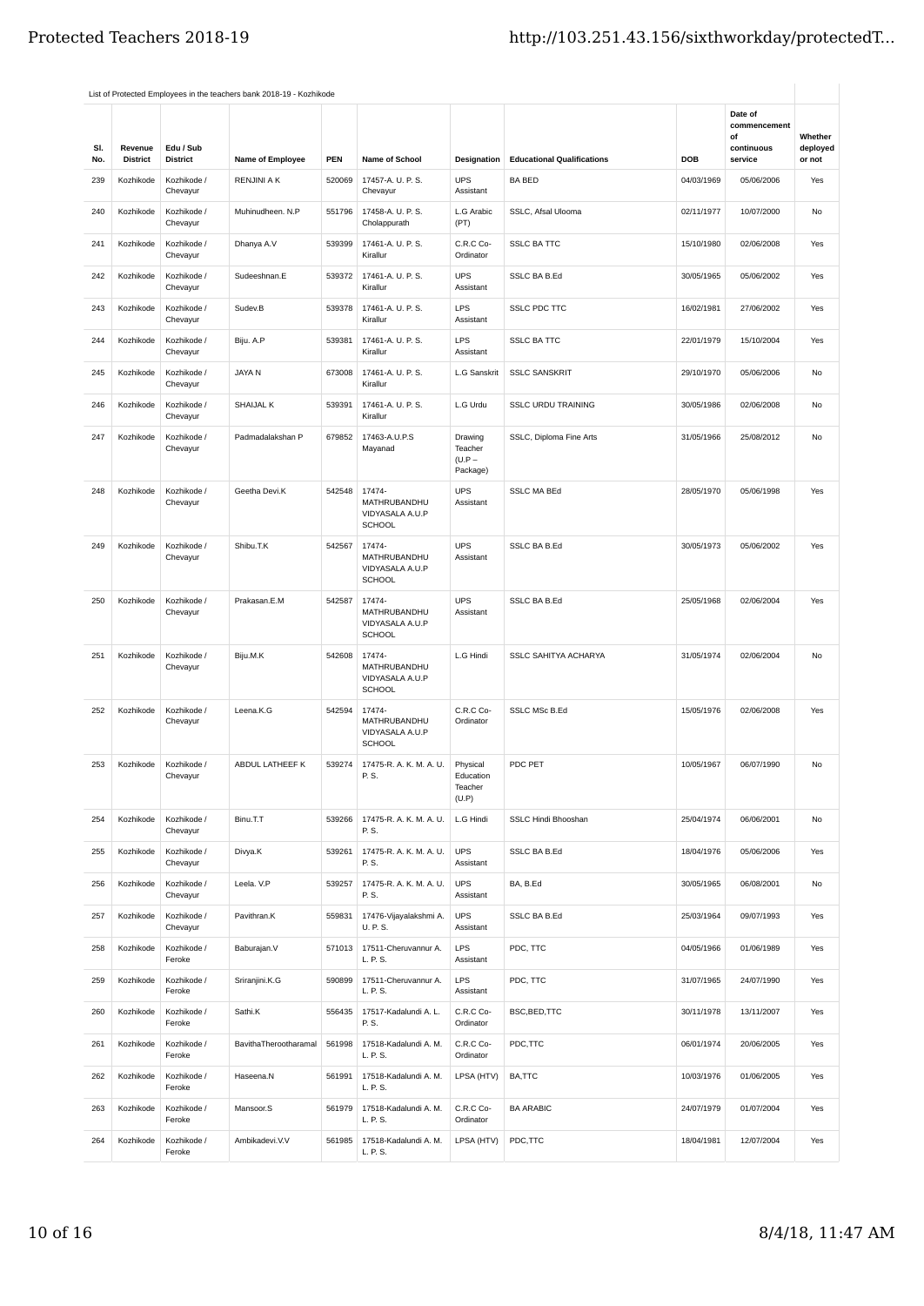|            |                            |                              | List of Protected Employees in the teachers bank 2018-19 - Kozhikode |        |                                                            |                                            |                                   |            |                                                        |                               |
|------------|----------------------------|------------------------------|----------------------------------------------------------------------|--------|------------------------------------------------------------|--------------------------------------------|-----------------------------------|------------|--------------------------------------------------------|-------------------------------|
| SI.<br>No. | Revenue<br><b>District</b> | Edu / Sub<br><b>District</b> | Name of Employee                                                     | PEN    | <b>Name of School</b>                                      | Designation                                | <b>Educational Qualifications</b> | DOB        | Date of<br>commencement<br>οf<br>continuous<br>service | Whether<br>deployed<br>or not |
| 239        | Kozhikode                  | Kozhikode /                  | <b>RENJINI A K</b>                                                   | 520069 | 17457-A. U. P. S.                                          | <b>UPS</b>                                 | <b>BA BED</b>                     | 04/03/1969 | 05/06/2006                                             | Yes                           |
|            |                            | Chevayur                     |                                                                      |        | Chevayur                                                   | Assistant                                  |                                   |            |                                                        |                               |
| 240        | Kozhikode                  | Kozhikode /<br>Chevayur      | Muhinudheen. N.P                                                     | 551796 | 17458-A. U. P. S.<br>Cholappurath                          | L.G Arabic<br>(PT)                         | SSLC, Afsal Ulooma                | 02/11/1977 | 10/07/2000                                             | No                            |
| 241        | Kozhikode                  | Kozhikode /<br>Chevayur      | Dhanya A.V                                                           | 539399 | 17461-A. U. P. S.<br>Kirallur                              | C.R.C Co-<br>Ordinator                     | <b>SSLC BA TTC</b>                | 15/10/1980 | 02/06/2008                                             | Yes                           |
| 242        | Kozhikode                  | Kozhikode /<br>Chevayur      | Sudeeshnan.E                                                         | 539372 | 17461-A. U. P. S.<br>Kirallur                              | <b>UPS</b><br>Assistant                    | SSLC BA B.Ed                      | 30/05/1965 | 05/06/2002                                             | Yes                           |
| 243        | Kozhikode                  | Kozhikode /<br>Chevayur      | Sudev.B                                                              | 539378 | 17461-A. U. P. S.<br>Kirallur                              | LPS<br>Assistant                           | <b>SSLC PDC TTC</b>               | 16/02/1981 | 27/06/2002                                             | Yes                           |
| 244        | Kozhikode                  | Kozhikode /<br>Chevayur      | Biju. A.P                                                            | 539381 | 17461-A. U. P. S.<br>Kirallur                              | LPS<br>Assistant                           | <b>SSLC BA TTC</b>                | 22/01/1979 | 15/10/2004                                             | Yes                           |
| 245        | Kozhikode                  | Kozhikode /<br>Chevayur      | JAYA N                                                               | 673008 | 17461-A. U. P. S.<br>Kirallur                              | L.G Sanskrit                               | <b>SSLC SANSKRIT</b>              | 29/10/1970 | 05/06/2006                                             | No                            |
| 246        | Kozhikode                  | Kozhikode /<br>Chevayur      | SHAIJAL K                                                            | 539391 | 17461-A. U. P. S.<br>Kirallur                              | L.G Urdu                                   | <b>SSLC URDU TRAINING</b>         | 30/05/1986 | 02/06/2008                                             | No                            |
| 247        | Kozhikode                  | Kozhikode /<br>Chevayur      | Padmadalakshan P                                                     | 679852 | 17463-A.U.P.S<br>Mayanad                                   | Drawing<br>Teacher<br>$(U.P -$<br>Package) | SSLC, Diploma Fine Arts           | 31/05/1966 | 25/08/2012                                             | No                            |
| 248        | Kozhikode                  | Kozhikode /<br>Chevayur      | Geetha Devi.K                                                        | 542548 | 17474-<br>MATHRUBANDHU<br>VIDYASALA A.U.P<br><b>SCHOOL</b> | <b>UPS</b><br>Assistant                    | <b>SSLC MA BEd</b>                | 28/05/1970 | 05/06/1998                                             | Yes                           |
| 249        | Kozhikode                  | Kozhikode /<br>Chevayur      | Shibu.T.K                                                            | 542567 | 17474-<br>MATHRUBANDHU<br>VIDYASALA A.U.P<br>SCHOOL        | <b>UPS</b><br>Assistant                    | <b>SSLC BA B.Ed</b>               | 30/05/1973 | 05/06/2002                                             | Yes                           |
| 250        | Kozhikode                  | Kozhikode /<br>Chevayur      | Prakasan.E.M                                                         | 542587 | 17474-<br>MATHRUBANDHU<br>VIDYASALA A.U.P<br><b>SCHOOL</b> | <b>UPS</b><br>Assistant                    | SSLC BA B.Ed                      | 25/05/1968 | 02/06/2004                                             | Yes                           |
| 251        | Kozhikode                  | Kozhikode /<br>Chevayur      | Biju.M.K                                                             | 542608 | 17474-<br>MATHRUBANDHU<br>VIDYASALA A.U.P<br><b>SCHOOL</b> | L.G Hindi                                  | <b>SSLC SAHITYA ACHARYA</b>       | 31/05/1974 | 02/06/2004                                             | No                            |
| 252        | Kozhikode                  | Kozhikode /<br>Chevayur      | Leena.K.G                                                            | 542594 | 17474-<br>MATHRUBANDHU<br>VIDYASALA A.U.P<br><b>SCHOOL</b> | C.R.C Co-<br>Ordinator                     | SSLC MSc B.Ed                     | 15/05/1976 | 02/06/2008                                             | Yes                           |
| 253        | Kozhikode                  | Kozhikode /<br>Chevayur      | ABDUL LATHEEF K                                                      | 539274 | 17475-R. A. K. M. A. U.<br>P. S.                           | Physical<br>Education<br>Teacher<br>(U.P)  | PDC PET                           | 10/05/1967 | 06/07/1990                                             | No                            |
| 254        | Kozhikode                  | Kozhikode /<br>Chevayur      | Binu.T.T                                                             | 539266 | 17475-R. A. K. M. A. U.<br>P. S.                           | L.G Hindi                                  | SSLC Hindi Bhooshan               | 25/04/1974 | 06/06/2001                                             | No                            |
| 255        | Kozhikode                  | Kozhikode /<br>Chevayur      | Divya.K                                                              | 539261 | 17475-R. A. K. M. A. U.<br>P. S.                           | <b>UPS</b><br>Assistant                    | SSLC BA B.Ed                      | 18/04/1976 | 05/06/2006                                             | Yes                           |
| 256        | Kozhikode                  | Kozhikode /<br>Chevayur      | Leela. V.P                                                           | 539257 | 17475-R. A. K. M. A. U.<br>P. S.                           | <b>UPS</b><br>Assistant                    | BA, B.Ed                          | 30/05/1965 | 06/08/2001                                             | No                            |
| 257        | Kozhikode                  | Kozhikode /<br>Chevayur      | Pavithran.K                                                          | 559831 | 17476-Vijayalakshmi A.<br>U. P. S.                         | <b>UPS</b><br>Assistant                    | SSLC BA B.Ed                      | 25/03/1964 | 09/07/1993                                             | Yes                           |
| 258        | Kozhikode                  | Kozhikode /<br>Feroke        | Baburajan.V                                                          | 571013 | 17511-Cheruvannur A.<br>L. P. S.                           | LPS<br>Assistant                           | PDC, TTC                          | 04/05/1966 | 01/06/1989                                             | Yes                           |
| 259        | Kozhikode                  | Kozhikode /<br>Feroke        | Sriranjini.K.G                                                       | 590899 | 17511-Cheruvannur A.<br>L. P. S.                           | LPS<br>Assistant                           | PDC, TTC                          | 31/07/1965 | 24/07/1990                                             | Yes                           |
| 260        | Kozhikode                  | Kozhikode /<br>Feroke        | Sathi.K                                                              | 556435 | 17517-Kadalundi A. L.<br>P. S.                             | C.R.C Co-<br>Ordinator                     | BSC, BED, TTC                     | 30/11/1978 | 13/11/2007                                             | Yes                           |
| 261        | Kozhikode                  | Kozhikode /<br>Feroke        | BavithaTherootharamal                                                | 561998 | 17518-Kadalundi A. M.<br>L. P. S.                          | C.R.C Co-<br>Ordinator                     | PDC,TTC                           | 06/01/1974 | 20/06/2005                                             | Yes                           |
| 262        | Kozhikode                  | Kozhikode /<br>Feroke        | Haseena.N                                                            | 561991 | 17518-Kadalundi A. M.<br>L. P. S.                          | LPSA (HTV)                                 | BA,TTC                            | 10/03/1976 | 01/06/2005                                             | Yes                           |
| 263        | Kozhikode                  | Kozhikode /<br>Feroke        | Mansoor.S                                                            | 561979 | 17518-Kadalundi A. M.<br>L. P. S.                          | C.R.C Co-<br>Ordinator                     | <b>BA ARABIC</b>                  | 24/07/1979 | 01/07/2004                                             | Yes                           |
| 264        | Kozhikode                  | Kozhikode /<br>Feroke        | Ambikadevi.V.V                                                       | 561985 | 17518-Kadalundi A. M.<br>L. P. S.                          | LPSA (HTV)                                 | PDC,TTC                           | 18/04/1981 | 12/07/2004                                             | Yes                           |
|            |                            |                              |                                                                      |        |                                                            |                                            |                                   |            |                                                        |                               |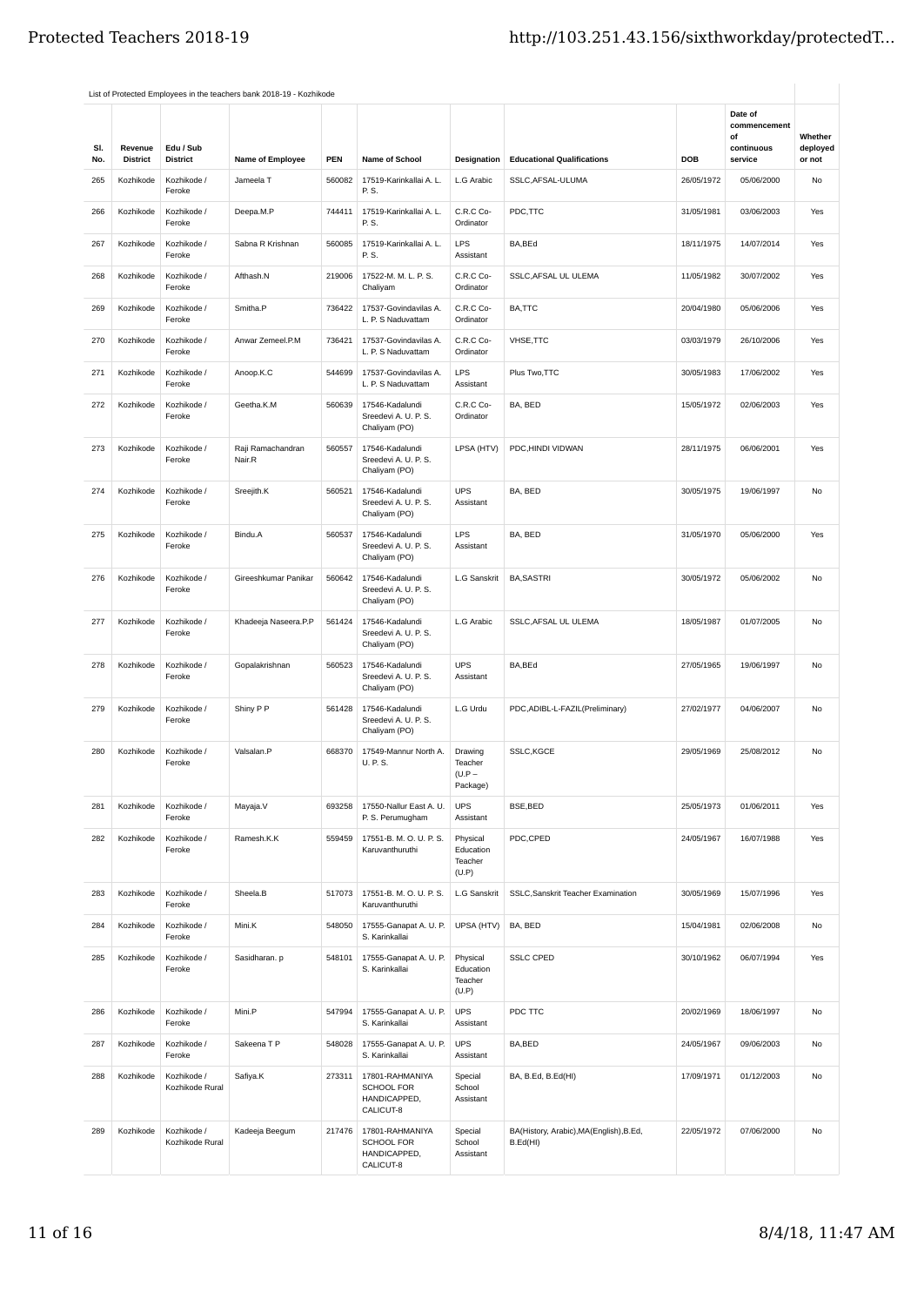|            |                            |                                | List of Protected Employees in the teachers bank 2018-19 - Kozhikode |            |                                                            |                                           |                                                     |            |                                                        |                               |
|------------|----------------------------|--------------------------------|----------------------------------------------------------------------|------------|------------------------------------------------------------|-------------------------------------------|-----------------------------------------------------|------------|--------------------------------------------------------|-------------------------------|
| SI.<br>No. | Revenue<br><b>District</b> | Edu / Sub<br><b>District</b>   | Name of Employee                                                     | <b>PEN</b> | Name of School                                             | Designation                               | <b>Educational Qualifications</b>                   | <b>DOB</b> | Date of<br>commencement<br>of<br>continuous<br>service | Whether<br>deployed<br>or not |
| 265        | Kozhikode                  | Kozhikode /                    | Jameela T                                                            | 560082     | 17519-Karinkallai A. L.                                    | L.G Arabic                                | SSLC, AFSAL-ULUMA                                   | 26/05/1972 | 05/06/2000                                             | No                            |
|            |                            | Feroke                         |                                                                      |            | P. S.                                                      |                                           |                                                     |            |                                                        |                               |
| 266        | Kozhikode                  | Kozhikode /<br>Feroke          | Deepa.M.P                                                            | 744411     | 17519-Karinkallai A. L.<br>P. S.                           | C.R.C Co-<br>Ordinator                    | PDC,TTC                                             | 31/05/1981 | 03/06/2003                                             | Yes                           |
| 267        | Kozhikode                  | Kozhikode /<br>Feroke          | Sabna R Krishnan                                                     | 560085     | 17519-Karinkallai A. L.<br>P. S.                           | LPS<br>Assistant                          | BA, BEd                                             | 18/11/1975 | 14/07/2014                                             | Yes                           |
| 268        | Kozhikode                  | Kozhikode /<br>Feroke          | Afthash.N                                                            | 219006     | 17522-M. M. L. P. S.<br>Chaliyam                           | C.R.C Co-<br>Ordinator                    | SSLC, AFSAL UL ULEMA                                | 11/05/1982 | 30/07/2002                                             | Yes                           |
| 269        | Kozhikode                  | Kozhikode /<br>Feroke          | Smitha.P                                                             | 736422     | 17537-Govindavilas A.<br>L. P. S Naduvattam                | C.R.C Co-<br>Ordinator                    | BA,TTC                                              | 20/04/1980 | 05/06/2006                                             | Yes                           |
| 270        | Kozhikode                  | Kozhikode /<br>Feroke          | Anwar Zemeel.P.M                                                     | 736421     | 17537-Govindavilas A.<br>L. P. S Naduvattam                | C.R.C Co-<br>Ordinator                    | VHSE, TTC                                           | 03/03/1979 | 26/10/2006                                             | Yes                           |
| 271        | Kozhikode                  | Kozhikode /<br>Feroke          | Anoop.K.C                                                            | 544699     | 17537-Govindavilas A.<br>L. P. S Naduvattam                | LPS<br>Assistant                          | Plus Two, TTC                                       | 30/05/1983 | 17/06/2002                                             | Yes                           |
| 272        | Kozhikode                  | Kozhikode /<br>Feroke          | Geetha.K.M                                                           | 560639     | 17546-Kadalundi<br>Sreedevi A. U. P. S.<br>Chaliyam (PO)   | C.R.C Co-<br>Ordinator                    | BA, BED                                             | 15/05/1972 | 02/06/2003                                             | Yes                           |
| 273        | Kozhikode                  | Kozhikode /<br>Feroke          | Raji Ramachandran<br>Nair.R                                          | 560557     | 17546-Kadalundi<br>Sreedevi A. U. P. S.<br>Chaliyam (PO)   | LPSA (HTV)                                | PDC.HINDI VIDWAN                                    | 28/11/1975 | 06/06/2001                                             | Yes                           |
| 274        | Kozhikode                  | Kozhikode /<br>Feroke          | Sreejith.K                                                           | 560521     | 17546-Kadalundi<br>Sreedevi A. U. P. S.<br>Chaliyam (PO)   | <b>UPS</b><br>Assistant                   | BA, BED                                             | 30/05/1975 | 19/06/1997                                             | No                            |
| 275        | Kozhikode                  | Kozhikode /<br>Feroke          | Bindu.A                                                              | 560537     | 17546-Kadalundi<br>Sreedevi A. U. P. S.<br>Chaliyam (PO)   | LPS<br>Assistant                          | BA, BED                                             | 31/05/1970 | 05/06/2000                                             | Yes                           |
| 276        | Kozhikode                  | Kozhikode /<br>Feroke          | Gireeshkumar Panikar                                                 | 560642     | 17546-Kadalundi<br>Sreedevi A. U. P. S.<br>Chaliyam (PO)   | L.G Sanskrit                              | <b>BA, SASTRI</b>                                   | 30/05/1972 | 05/06/2002                                             | No                            |
| 277        | Kozhikode                  | Kozhikode /<br>Feroke          | Khadeeja Naseera.P.P                                                 | 561424     | 17546-Kadalundi<br>Sreedevi A. U. P. S.<br>Chaliyam (PO)   | L.G Arabic                                | SSLC, AFSAL UL ULEMA                                | 18/05/1987 | 01/07/2005                                             | No                            |
| 278        | Kozhikode                  | Kozhikode /<br>Feroke          | Gopalakrishnan                                                       | 560523     | 17546-Kadalundi<br>Sreedevi A. U. P. S.<br>Chaliyam (PO)   | <b>UPS</b><br>Assistant                   | BA, BEd                                             | 27/05/1965 | 19/06/1997                                             | No                            |
| 279        | Kozhikode                  | Kozhikode /<br>Feroke          | Shiny P P                                                            | 561428     | 17546-Kadalundi<br>Sreedevi A. U. P. S.<br>Chaliyam (PO)   | L.G Urdu                                  | PDC, ADIBL-L-FAZIL (Preliminary)                    | 27/02/1977 | 04/06/2007                                             | No                            |
| 280        | Kozhikode                  | Kozhikode /<br>Feroke          | Valsalan.P                                                           | 668370     | 17549-Mannur North A.<br>U. P. S.                          | Drawing<br>Teacher<br>(U.P –<br>Package)  | SSLC,KGCE                                           | 29/05/1969 | 25/08/2012                                             | No                            |
| 281        | Kozhikode                  | Kozhikode /<br>Feroke          | Mayaja.V                                                             | 693258     | 17550-Nallur East A. U.<br>P. S. Perumugham                | <b>UPS</b><br>Assistant                   | BSE, BED                                            | 25/05/1973 | 01/06/2011                                             | Yes                           |
| 282        | Kozhikode                  | Kozhikode /<br>Feroke          | Ramesh.K.K                                                           | 559459     | 17551-B. M. O. U. P. S.<br>Karuvanthuruthi                 | Physical<br>Education<br>Teacher<br>(U.P) | PDC,CPED                                            | 24/05/1967 | 16/07/1988                                             | Yes                           |
| 283        | Kozhikode                  | Kozhikode /<br>Feroke          | Sheela.B                                                             | 517073     | 17551-B. M. O. U. P. S.<br>Karuvanthuruthi                 | L.G Sanskrit                              | SSLC, Sanskrit Teacher Examination                  | 30/05/1969 | 15/07/1996                                             | Yes                           |
| 284        | Kozhikode                  | Kozhikode /<br>Feroke          | Mini.K                                                               | 548050     | 17555-Ganapat A. U. P.<br>S. Karinkallai                   | UPSA (HTV)                                | BA, BED                                             | 15/04/1981 | 02/06/2008                                             | No                            |
| 285        | Kozhikode                  | Kozhikode /<br>Feroke          | Sasidharan. p                                                        | 548101     | 17555-Ganapat A. U. P.<br>S. Karinkallai                   | Physical<br>Education<br>Teacher<br>(U.P) | <b>SSLC CPED</b>                                    | 30/10/1962 | 06/07/1994                                             | Yes                           |
| 286        | Kozhikode                  | Kozhikode /<br>Feroke          | Mini.P                                                               | 547994     | 17555-Ganapat A. U. P.<br>S. Karinkallai                   | <b>UPS</b><br>Assistant                   | PDC TTC                                             | 20/02/1969 | 18/06/1997                                             | No                            |
| 287        | Kozhikode                  | Kozhikode /<br>Feroke          | Sakeena T P                                                          | 548028     | 17555-Ganapat A. U. P.<br>S. Karinkallai                   | <b>UPS</b><br>Assistant                   | BA,BED                                              | 24/05/1967 | 09/06/2003                                             | No                            |
| 288        | Kozhikode                  | Kozhikode /<br>Kozhikode Rural | Safiya.K                                                             | 273311     | 17801-RAHMANIYA<br>SCHOOL FOR<br>HANDICAPPED,<br>CALICUT-8 | Special<br>School<br>Assistant            | BA, B.Ed, B.Ed(HI)                                  | 17/09/1971 | 01/12/2003                                             | No                            |
| 289        | Kozhikode                  | Kozhikode /<br>Kozhikode Rural | Kadeeja Beegum                                                       | 217476     | 17801-RAHMANIYA<br>SCHOOL FOR<br>HANDICAPPED,<br>CALICUT-8 | Special<br>School<br>Assistant            | BA(History, Arabic), MA(English), B.Ed,<br>B.Ed(HI) | 22/05/1972 | 07/06/2000                                             | No                            |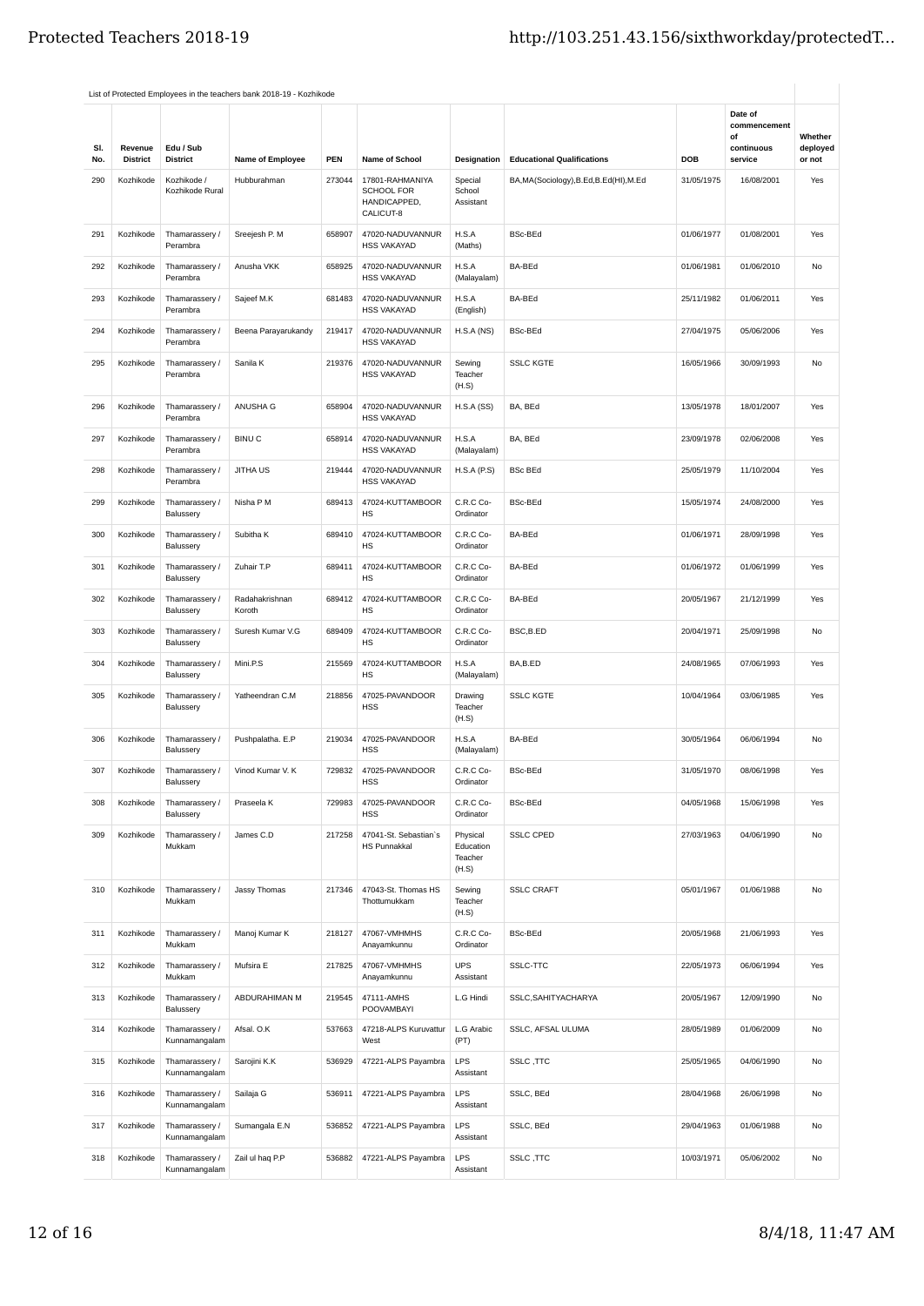|            |                            |                                       | List of Protected Employees in the teachers bank 2018-19 - Kozhikode |            |                                                            |                                           |                                         |            |                                                        |                               |
|------------|----------------------------|---------------------------------------|----------------------------------------------------------------------|------------|------------------------------------------------------------|-------------------------------------------|-----------------------------------------|------------|--------------------------------------------------------|-------------------------------|
| SI.<br>No. | Revenue<br><b>District</b> | Edu / Sub<br><b>District</b>          | Name of Employee                                                     | <b>PEN</b> | Name of School                                             | Designation                               | <b>Educational Qualifications</b>       | DOB        | Date of<br>commencement<br>of<br>continuous<br>service | Whether<br>deployed<br>or not |
| 290        | Kozhikode                  | Kozhikode /<br>Kozhikode Rural        | Hubburahman                                                          | 273044     | 17801-RAHMANIYA<br>SCHOOL FOR<br>HANDICAPPED,<br>CALICUT-8 | Special<br>School<br>Assistant            | BA, MA(Sociology), B.Ed, B.Ed(HI), M.Ed | 31/05/1975 | 16/08/2001                                             | Yes                           |
| 291        | Kozhikode                  | Thamarassery /<br>Perambra            | Sreejesh P. M                                                        | 658907     | 47020-NADUVANNUR<br><b>HSS VAKAYAD</b>                     | H.S.A<br>(Maths)                          | <b>BSc-BEd</b>                          | 01/06/1977 | 01/08/2001                                             | Yes                           |
| 292        | Kozhikode                  | Thamarassery /<br>Perambra            | Anusha VKK                                                           | 658925     | 47020-NADUVANNUR<br><b>HSS VAKAYAD</b>                     | H.S.A<br>(Malayalam)                      | BA-BEd                                  | 01/06/1981 | 01/06/2010                                             | No                            |
| 293        | Kozhikode                  | Thamarassery /<br>Perambra            | Sajeef M.K                                                           | 681483     | 47020-NADUVANNUR<br><b>HSS VAKAYAD</b>                     | H.S.A<br>(English)                        | BA-BEd                                  | 25/11/1982 | 01/06/2011                                             | Yes                           |
| 294        | Kozhikode                  | Thamarassery /<br>Perambra            | Beena Parayarukandy                                                  | 219417     | 47020-NADUVANNUR<br><b>HSS VAKAYAD</b>                     | H.S.A(NS)                                 | <b>BSc-BEd</b>                          | 27/04/1975 | 05/06/2006                                             | Yes                           |
| 295        | Kozhikode                  | Thamarassery /<br>Perambra            | Sanila K                                                             | 219376     | 47020-NADUVANNUR<br><b>HSS VAKAYAD</b>                     | Sewing<br>Teacher<br>(H.S)                | <b>SSLC KGTE</b>                        | 16/05/1966 | 30/09/1993                                             | No                            |
| 296        | Kozhikode                  | Thamarassery /<br>Perambra            | ANUSHA G                                                             | 658904     | 47020-NADUVANNUR<br><b>HSS VAKAYAD</b>                     | H.S.A(SS)                                 | BA, BEd                                 | 13/05/1978 | 18/01/2007                                             | Yes                           |
| 297        | Kozhikode                  | Thamarassery /<br>Perambra            | <b>BINUC</b>                                                         | 658914     | 47020-NADUVANNUR<br><b>HSS VAKAYAD</b>                     | H.S.A<br>(Malayalam)                      | BA, BEd                                 | 23/09/1978 | 02/06/2008                                             | Yes                           |
| 298        | Kozhikode                  | Thamarassery /<br>Perambra            | <b>JITHA US</b>                                                      | 219444     | 47020-NADUVANNUR<br><b>HSS VAKAYAD</b>                     | H.S.A(P.S)                                | <b>BSc BEd</b>                          | 25/05/1979 | 11/10/2004                                             | Yes                           |
| 299        | Kozhikode                  | Thamarassery /<br>Balussery           | Nisha P M                                                            | 689413     | 47024-KUTTAMBOOR<br>HS                                     | C.R.C Co-<br>Ordinator                    | <b>BSc-BEd</b>                          | 15/05/1974 | 24/08/2000                                             | Yes                           |
| 300        | Kozhikode                  | Thamarassery /<br>Balussery           | Subitha K                                                            | 689410     | 47024-KUTTAMBOOR<br>HS                                     | C.R.C Co-<br>Ordinator                    | BA-BEd                                  | 01/06/1971 | 28/09/1998                                             | Yes                           |
| 301        | Kozhikode                  | Thamarassery /<br>Balussery           | Zuhair T.P                                                           | 689411     | 47024-KUTTAMBOOR<br>HS                                     | C.R.C Co-<br>Ordinator                    | BA-BEd                                  | 01/06/1972 | 01/06/1999                                             | Yes                           |
| 302        | Kozhikode                  | Thamarassery /<br>Balussery           | Radahakrishnan<br>Koroth                                             | 689412     | 47024-KUTTAMBOOR<br>HS                                     | C.R.C Co-<br>Ordinator                    | BA-BEd                                  | 20/05/1967 | 21/12/1999                                             | Yes                           |
| 303        | Kozhikode                  | Thamarassery /<br>Balussery           | Suresh Kumar V.G                                                     | 689409     | 47024-KUTTAMBOOR<br>HS                                     | C.R.C Co-<br>Ordinator                    | BSC,B.ED                                | 20/04/1971 | 25/09/1998                                             | No                            |
| 304        | Kozhikode                  | Thamarassery /<br>Balussery           | Mini.P.S                                                             | 215569     | 47024-KUTTAMBOOR<br>HS                                     | H.S.A<br>(Malayalam)                      | BA,B.ED                                 | 24/08/1965 | 07/06/1993                                             | Yes                           |
| 305        | Kozhikode                  | Thamarassery /<br>Balussery           | Yatheendran C.M                                                      | 218856     | 47025-PAVANDOOR<br><b>HSS</b>                              | Drawing<br>Teacher<br>(H.S)               | <b>SSLC KGTE</b>                        | 10/04/1964 | 03/06/1985                                             | Yes                           |
| 306        | Kozhikode                  | Thamarassery /<br>Balussery           | Pushpalatha. E.P                                                     | 219034     | 47025-PAVANDOOR<br><b>HSS</b>                              | H.S.A<br>(Malayalam)                      | BA-BEd                                  | 30/05/1964 | 06/06/1994                                             | No                            |
| 307        |                            | Kozhikode Thamarassery /<br>Balussery | Vinod Kumar V. K                                                     | 729832     | 47025-PAVANDOOR<br><b>HSS</b>                              | C.R.C Co-<br>Ordinator                    | <b>BSc-BEd</b>                          | 31/05/1970 | 08/06/1998                                             | Yes                           |
| 308        | Kozhikode                  | Thamarassery /<br>Balussery           | Praseela K                                                           | 729983     | 47025-PAVANDOOR<br><b>HSS</b>                              | C.R.C Co-<br>Ordinator                    | <b>BSc-BEd</b>                          | 04/05/1968 | 15/06/1998                                             | Yes                           |
| 309        | Kozhikode                  | Thamarassery /<br>Mukkam              | James C.D                                                            | 217258     | 47041-St. Sebastian's<br><b>HS Punnakkal</b>               | Physical<br>Education<br>Teacher<br>(H.S) | <b>SSLC CPED</b>                        | 27/03/1963 | 04/06/1990                                             | No                            |
| 310        | Kozhikode                  | Thamarassery /<br>Mukkam              | Jassy Thomas                                                         | 217346     | 47043-St. Thomas HS<br>Thottumukkam                        | Sewing<br>Teacher<br>(H.S)                | <b>SSLC CRAFT</b>                       | 05/01/1967 | 01/06/1988                                             | No                            |
| 311        | Kozhikode                  | Thamarassery /<br>Mukkam              | Manoj Kumar K                                                        | 218127     | 47067-VMHMHS<br>Anayamkunnu                                | C.R.C Co-<br>Ordinator                    | <b>BSc-BEd</b>                          | 20/05/1968 | 21/06/1993                                             | Yes                           |
| 312        | Kozhikode                  | Thamarassery /<br>Mukkam              | Mufsira E                                                            | 217825     | 47067-VMHMHS<br>Anayamkunnu                                | <b>UPS</b><br>Assistant                   | SSLC-TTC                                | 22/05/1973 | 06/06/1994                                             | Yes                           |
| 313        | Kozhikode                  | Thamarassery /<br>Balussery           | ABDURAHIMAN M                                                        | 219545     | 47111-AMHS<br>POOVAMBAYI                                   | L.G Hindi                                 | SSLC, SAHITYACHARYA                     | 20/05/1967 | 12/09/1990                                             | No                            |
| 314        | Kozhikode                  | Thamarassery /<br>Kunnamangalam       | Afsal. O.K                                                           | 537663     | 47218-ALPS Kuruvattur<br>West                              | L.G Arabic<br>(PT)                        | SSLC, AFSAL ULUMA                       | 28/05/1989 | 01/06/2009                                             | No                            |
| 315        | Kozhikode                  | Thamarassery /<br>Kunnamangalam       | Sarojini K.K                                                         | 536929     | 47221-ALPS Payambra                                        | LPS<br>Assistant                          | SSLC, TTC                               | 25/05/1965 | 04/06/1990                                             | No                            |
| 316        | Kozhikode                  | Thamarassery /<br>Kunnamangalam       | Sailaja G                                                            | 536911     | 47221-ALPS Payambra                                        | LPS<br>Assistant                          | SSLC, BEd                               | 28/04/1968 | 26/06/1998                                             | No                            |
| 317        | Kozhikode                  | Thamarassery /<br>Kunnamangalam       | Sumangala E.N                                                        | 536852     | 47221-ALPS Payambra                                        | LPS<br>Assistant                          | SSLC, BEd                               | 29/04/1963 | 01/06/1988                                             | No                            |
| 318        | Kozhikode                  | Thamarassery /<br>Kunnamangalam       | Zail ul haq P.P                                                      | 536882     | 47221-ALPS Payambra                                        | LPS<br>Assistant                          | SSLC, TTC                               | 10/03/1971 | 05/06/2002                                             | No                            |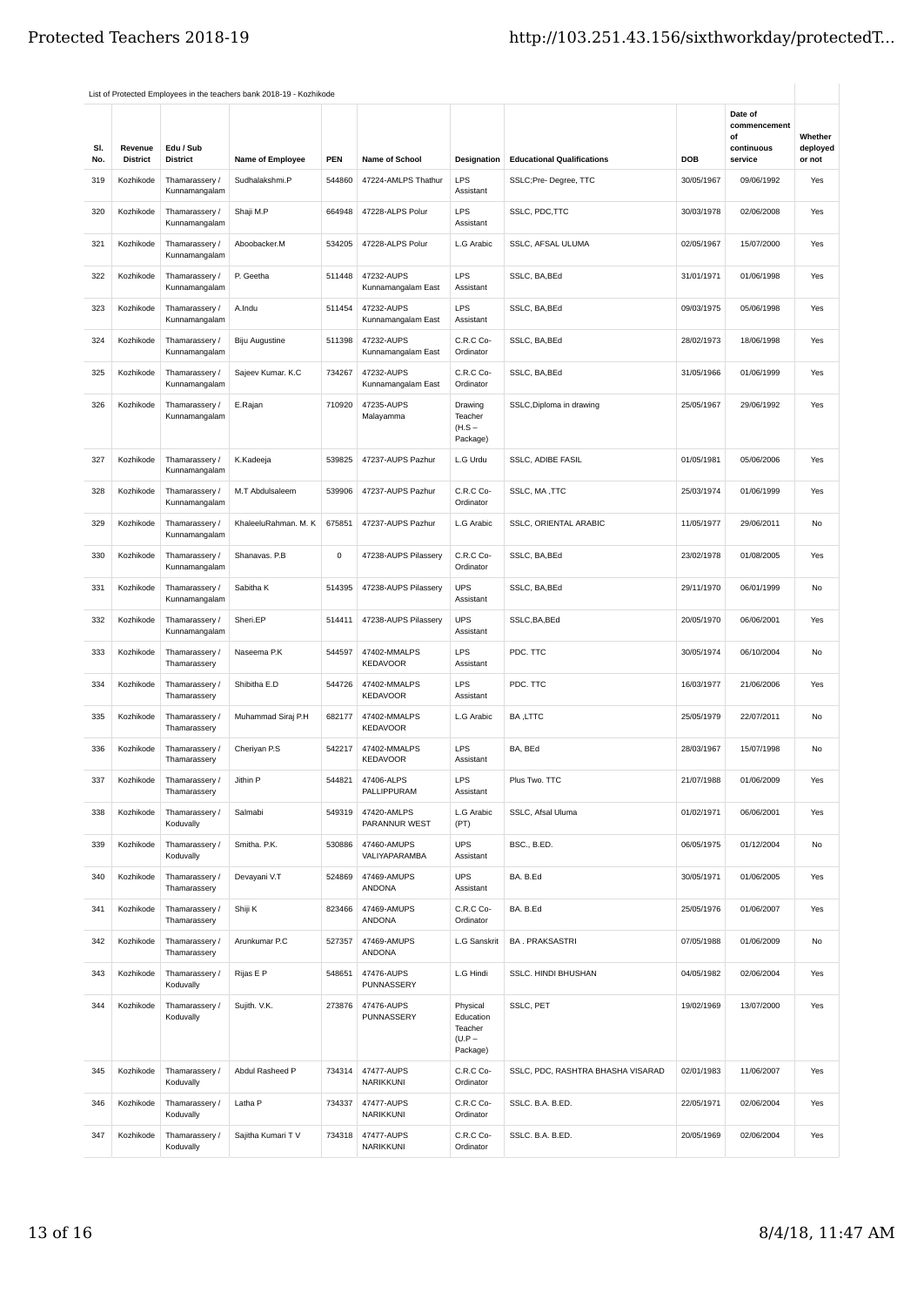|            |                            |                                 | List of Protected Employees in the teachers bank 2018-19 - Kozhikode |        |                                  |                                                          |                                   |            |                                                        |                               |
|------------|----------------------------|---------------------------------|----------------------------------------------------------------------|--------|----------------------------------|----------------------------------------------------------|-----------------------------------|------------|--------------------------------------------------------|-------------------------------|
| SI.<br>No. | Revenue<br><b>District</b> | Edu / Sub<br><b>District</b>    | Name of Employee                                                     | PEN    | Name of School                   | Designation                                              | <b>Educational Qualifications</b> | DOB        | Date of<br>commencement<br>of<br>continuous<br>service | Whether<br>deployed<br>or not |
| 319        | Kozhikode                  | Thamarassery /                  | Sudhalakshmi.P                                                       | 544860 | 47224-AMLPS Thathur              | LPS                                                      | SSLC;Pre-Degree, TTC              | 30/05/1967 | 09/06/1992                                             | Yes                           |
| 320        | Kozhikode                  | Kunnamangalam<br>Thamarassery / | Shaji M.P                                                            | 664948 | 47228-ALPS Polur                 | Assistant<br>LPS                                         | SSLC, PDC, TTC                    | 30/03/1978 | 02/06/2008                                             | Yes                           |
| 321        | Kozhikode                  | Kunnamangalam<br>Thamarassery / | Aboobacker.M                                                         | 534205 | 47228-ALPS Polur                 | Assistant<br>L.G Arabic                                  | SSLC, AFSAL ULUMA                 | 02/05/1967 | 15/07/2000                                             | Yes                           |
| 322        | Kozhikode                  | Kunnamangalam<br>Thamarassery / | P. Geetha                                                            | 511448 | 47232-AUPS                       | <b>LPS</b>                                               | SSLC, BA, BEd                     | 31/01/1971 | 01/06/1998                                             | Yes                           |
|            |                            | Kunnamangalam                   |                                                                      |        | Kunnamangalam East               | Assistant                                                |                                   |            |                                                        |                               |
| 323        | Kozhikode                  | Thamarassery /<br>Kunnamangalam | A.Indu                                                               | 511454 | 47232-AUPS<br>Kunnamangalam East | LPS<br>Assistant                                         | SSLC, BA, BEd                     | 09/03/1975 | 05/06/1998                                             | Yes                           |
| 324        | Kozhikode                  | Thamarassery /<br>Kunnamangalam | <b>Biju Augustine</b>                                                | 511398 | 47232-AUPS<br>Kunnamangalam East | C.R.C Co-<br>Ordinator                                   | SSLC, BA, BEd                     | 28/02/1973 | 18/06/1998                                             | Yes                           |
| 325        | Kozhikode                  | Thamarassery /<br>Kunnamangalam | Sajeev Kumar. K.C                                                    | 734267 | 47232-AUPS<br>Kunnamangalam East | C.R.C Co-<br>Ordinator                                   | SSLC, BA, BEd                     | 31/05/1966 | 01/06/1999                                             | Yes                           |
| 326        | Kozhikode                  | Thamarassery /<br>Kunnamangalam | E.Rajan                                                              | 710920 | 47235-AUPS<br>Malayamma          | Drawing<br>Teacher<br>$(H.S -$<br>Package)               | SSLC, Diploma in drawing          | 25/05/1967 | 29/06/1992                                             | Yes                           |
| 327        | Kozhikode                  | Thamarassery /<br>Kunnamangalam | K.Kadeeja                                                            | 539825 | 47237-AUPS Pazhur                | L.G Urdu                                                 | SSLC, ADIBE FASIL                 | 01/05/1981 | 05/06/2006                                             | Yes                           |
| 328        | Kozhikode                  | Thamarassery /<br>Kunnamangalam | M.T Abdulsaleem                                                      | 539906 | 47237-AUPS Pazhur                | C.R.C Co-<br>Ordinator                                   | SSLC, MA, TTC                     | 25/03/1974 | 01/06/1999                                             | Yes                           |
| 329        | Kozhikode                  | Thamarassery /<br>Kunnamangalam | KhaleeluRahman. M. K                                                 | 675851 | 47237-AUPS Pazhur                | L.G Arabic                                               | SSLC, ORIENTAL ARABIC             | 11/05/1977 | 29/06/2011                                             | No                            |
| 330        | Kozhikode                  | Thamarassery /<br>Kunnamangalam | Shanavas. P.B                                                        | 0      | 47238-AUPS Pilassery             | C.R.C Co-<br>Ordinator                                   | SSLC, BA, BEd                     | 23/02/1978 | 01/08/2005                                             | Yes                           |
| 331        | Kozhikode                  | Thamarassery /<br>Kunnamangalam | Sabitha K                                                            | 514395 | 47238-AUPS Pilassery             | <b>UPS</b><br>Assistant                                  | SSLC, BA, BEd                     | 29/11/1970 | 06/01/1999                                             | No                            |
| 332        | Kozhikode                  | Thamarassery /<br>Kunnamangalam | Sheri.EP                                                             | 514411 | 47238-AUPS Pilassery             | <b>UPS</b><br>Assistant                                  | SSLC, BA, BEd                     | 20/05/1970 | 06/06/2001                                             | Yes                           |
| 333        | Kozhikode                  | Thamarassery /<br>Thamarassery  | Naseema P.K                                                          | 544597 | 47402-MMALPS<br><b>KEDAVOOR</b>  | LPS<br>Assistant                                         | PDC. TTC                          | 30/05/1974 | 06/10/2004                                             | No                            |
| 334        | Kozhikode                  | Thamarassery /<br>Thamarassery  | Shibitha E.D                                                         | 544726 | 47402-MMALPS<br><b>KEDAVOOR</b>  | LPS<br>Assistant                                         | PDC. TTC                          | 16/03/1977 | 21/06/2006                                             | Yes                           |
| 335        | Kozhikode                  | Thamarassery /<br>Thamarassery  | Muhammad Siraj P.H                                                   | 682177 | 47402-MMALPS<br><b>KEDAVOOR</b>  | L.G Arabic                                               | BA, LTTC                          | 25/05/1979 | 22/07/2011                                             | No                            |
| 336        | Kozhikode                  | Thamarassery /<br>Thamarassery  | Cheriyan P.S                                                         | 542217 | 47402-MMALPS<br><b>KEDAVOOR</b>  | <b>LPS</b><br>Assistant                                  | BA, BEd                           | 28/03/1967 | 15/07/1998                                             | No                            |
| 337        | Kozhikode                  | Thamarassery /<br>Thamarassery  | Jithin P                                                             | 544821 | 47406-ALPS<br>PALLIPPURAM        | LPS<br>Assistant                                         | Plus Two. TTC                     | 21/07/1988 | 01/06/2009                                             | Yes                           |
| 338        | Kozhikode                  | Thamarassery /<br>Koduvally     | Salmabi                                                              | 549319 | 47420-AMLPS<br>PARANNUR WEST     | L.G Arabic<br>(PT)                                       | SSLC, Afsal Uluma                 | 01/02/1971 | 06/06/2001                                             | Yes                           |
| 339        | Kozhikode                  | Thamarassery /<br>Koduvally     | Smitha. P.K.                                                         | 530886 | 47460-AMUPS<br>VALIYAPARAMBA     | <b>UPS</b><br>Assistant                                  | BSC., B.ED.                       | 06/05/1975 | 01/12/2004                                             | No                            |
| 340        | Kozhikode                  | Thamarassery /<br>Thamarassery  | Devayani V.T                                                         | 524869 | 47469-AMUPS<br>ANDONA            | <b>UPS</b><br>Assistant                                  | BA. B.Ed                          | 30/05/1971 | 01/06/2005                                             | Yes                           |
| 341        | Kozhikode                  | Thamarassery /<br>Thamarassery  | Shiji K                                                              | 823466 | 47469-AMUPS<br>ANDONA            | C.R.C Co-<br>Ordinator                                   | BA, B.Ed                          | 25/05/1976 | 01/06/2007                                             | Yes                           |
| 342        | Kozhikode                  | Thamarassery /<br>Thamarassery  | Arunkumar P.C                                                        | 527357 | 47469-AMUPS<br>ANDONA            | <b>L.G Sanskrit</b>                                      | <b>BA. PRAKSASTRI</b>             | 07/05/1988 | 01/06/2009                                             | No                            |
| 343        | Kozhikode                  | Thamarassery /<br>Koduvally     | Rijas E P                                                            | 548651 | 47476-AUPS<br>PUNNASSERY         | L.G Hindi                                                | SSLC. HINDI BHUSHAN               | 04/05/1982 | 02/06/2004                                             | Yes                           |
| 344        | Kozhikode                  | Thamarassery /<br>Koduvally     | Sujith. V.K.                                                         | 273876 | 47476-AUPS<br>PUNNASSERY         | Physical<br>Education<br>Teacher<br>$(U.P -$<br>Package) | SSLC, PET                         | 19/02/1969 | 13/07/2000                                             | Yes                           |
| 345        | Kozhikode                  | Thamarassery /<br>Koduvally     | Abdul Rasheed P                                                      | 734314 | 47477-AUPS<br>NARIKKUNI          | C.R.C Co-<br>Ordinator                                   | SSLC, PDC, RASHTRA BHASHA VISARAD | 02/01/1983 | 11/06/2007                                             | Yes                           |
| 346        | Kozhikode                  | Thamarassery /<br>Koduvally     | Latha <sub>P</sub>                                                   | 734337 | 47477-AUPS<br>NARIKKUNI          | C.R.C Co-<br>Ordinator                                   | SSLC. B.A. B.ED.                  | 22/05/1971 | 02/06/2004                                             | Yes                           |
| 347        | Kozhikode                  | Thamarassery /<br>Koduvally     | Sajitha Kumari TV                                                    | 734318 | 47477-AUPS<br>NARIKKUNI          | C.R.C Co-<br>Ordinator                                   | SSLC. B.A. B.ED.                  | 20/05/1969 | 02/06/2004                                             | Yes                           |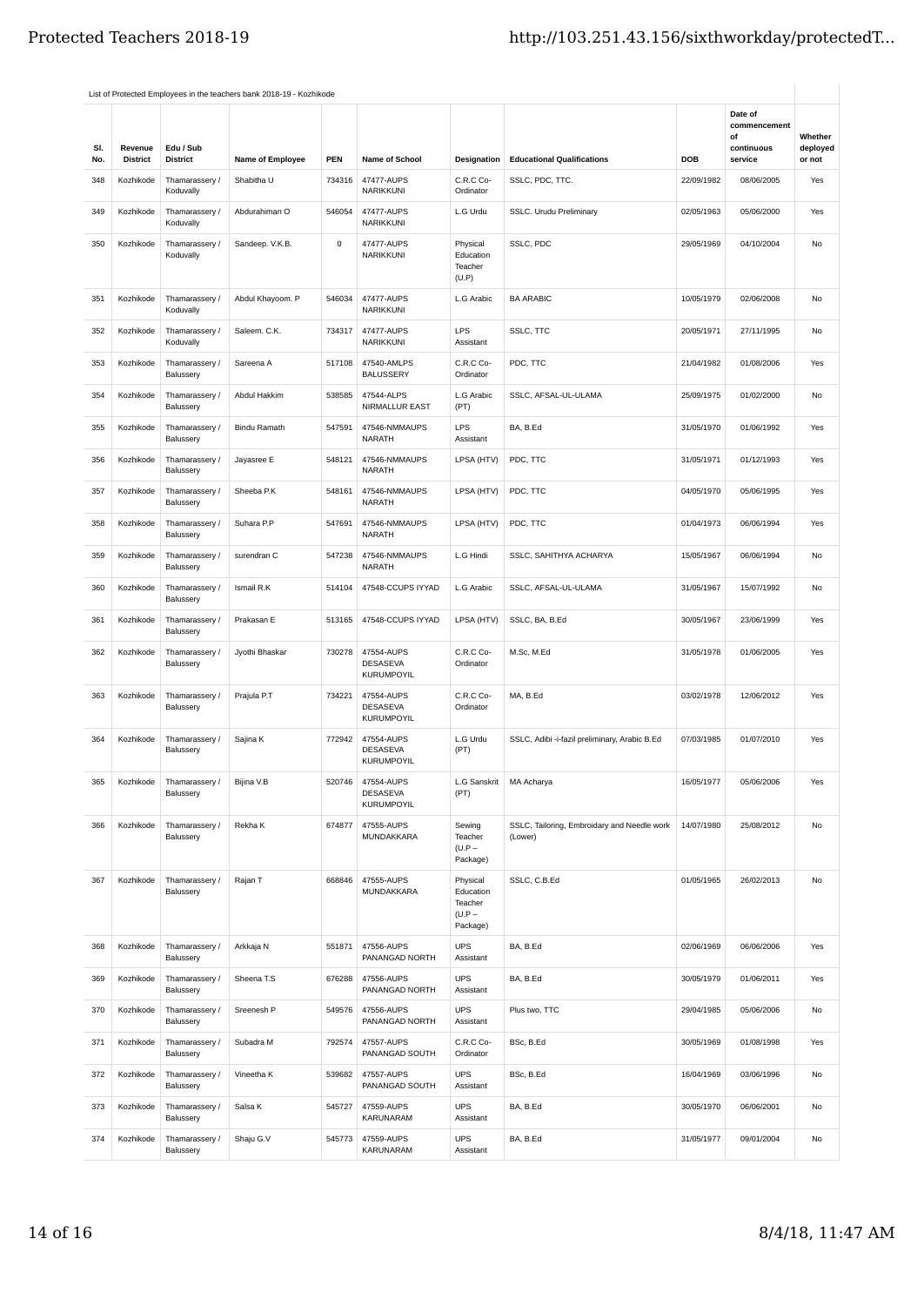| SI.<br>No. | Revenue<br><b>District</b> | Edu / Sub<br><b>District</b> | Name of Employee    | PEN    | Name of School                                     | Designation                                              | <b>Educational Qualifications</b>                      | <b>DOB</b> | Date of<br>commencement<br>of<br>continuous<br>service | Whether<br>deployed<br>or not |
|------------|----------------------------|------------------------------|---------------------|--------|----------------------------------------------------|----------------------------------------------------------|--------------------------------------------------------|------------|--------------------------------------------------------|-------------------------------|
| 348        | Kozhikode                  | Thamarassery /<br>Koduvally  | Shabitha U          | 734316 | 47477-AUPS<br>NARIKKUNI                            | C.R.C Co-<br>Ordinator                                   | SSLC, PDC, TTC.                                        | 22/09/1982 | 08/06/2005                                             | Yes                           |
| 349        | Kozhikode                  | Thamarassery /<br>Koduvally  | Abdurahiman O       | 546054 | 47477-AUPS<br>NARIKKUNI                            | L.G Urdu                                                 | SSLC. Urudu Preliminary                                | 02/05/1963 | 05/06/2000                                             | Yes                           |
| 350        | Kozhikode                  | Thamarassery /<br>Koduvally  | Sandeep. V.K.B.     | 0      | 47477-AUPS<br>NARIKKUNI                            | Physical<br>Education<br>Teacher<br>(U.P)                | SSLC, PDC                                              | 29/05/1969 | 04/10/2004                                             | No                            |
| 351        | Kozhikode                  | Thamarassery /<br>Koduvally  | Abdul Khayoom. P    | 546034 | 47477-AUPS<br>NARIKKUNI                            | L.G Arabic                                               | <b>BA ARABIC</b>                                       | 10/05/1979 | 02/06/2008                                             | No                            |
| 352        | Kozhikode                  | Thamarassery /<br>Koduvally  | Saleem. C.K.        | 734317 | 47477-AUPS<br>NARIKKUNI                            | LPS<br>Assistant                                         | SSLC, TTC                                              | 20/05/1971 | 27/11/1995                                             | No                            |
| 353        | Kozhikode                  | Thamarassery /<br>Balussery  | Sareena A           | 517108 | 47540-AMLPS<br><b>BALUSSERY</b>                    | C.R.C Co-<br>Ordinator                                   | PDC, TTC                                               | 21/04/1982 | 01/08/2006                                             | Yes                           |
| 354        | Kozhikode                  | Thamarassery /<br>Balussery  | Abdul Hakkim        | 538585 | 47544-ALPS<br>NIRMALLUR EAST                       | L.G Arabic<br>(PT)                                       | SSLC, AFSAL-UL-ULAMA                                   | 25/09/1975 | 01/02/2000                                             | <b>No</b>                     |
| 355        | Kozhikode                  | Thamarassery /<br>Balussery  | <b>Bindu Ramath</b> | 547591 | 47546-NMMAUPS<br><b>NARATH</b>                     | LPS<br>Assistant                                         | BA, B.Ed                                               | 31/05/1970 | 01/06/1992                                             | Yes                           |
| 356        | Kozhikode                  | Thamarassery /<br>Balussery  | Jayasree E          | 548121 | 47546-NMMAUPS<br><b>NARATH</b>                     | LPSA (HTV)                                               | PDC, TTC                                               | 31/05/1971 | 01/12/1993                                             | Yes                           |
| 357        | Kozhikode                  | Thamarassery /<br>Balussery  | Sheeba P.K          | 548161 | 47546-NMMAUPS<br><b>NARATH</b>                     | LPSA (HTV)                                               | PDC, TTC                                               | 04/05/1970 | 05/06/1995                                             | Yes                           |
| 358        | Kozhikode                  | Thamarassery /<br>Balussery  | Suhara P.P          | 547691 | 47546-NMMAUPS<br><b>NARATH</b>                     | LPSA (HTV)                                               | PDC, TTC                                               | 01/04/1973 | 06/06/1994                                             | Yes                           |
| 359        | Kozhikode                  | Thamarassery /<br>Balussery  | surendran C         | 547238 | 47546-NMMAUPS<br><b>NARATH</b>                     | L.G Hindi                                                | SSLC, SAHITHYA ACHARYA                                 | 15/05/1967 | 06/06/1994                                             | No                            |
| 360        | Kozhikode                  | Thamarassery /<br>Balussery  | Ismail R.K          | 514104 | 47548-CCUPS IYYAD                                  | L.G Arabic                                               | SSLC, AFSAL-UL-ULAMA                                   | 31/05/1967 | 15/07/1992                                             | No                            |
| 361        | Kozhikode                  | Thamarassery /<br>Balussery  | Prakasan E          | 513165 | 47548-CCUPS IYYAD                                  | LPSA (HTV)                                               | SSLC, BA, B.Ed                                         | 30/05/1967 | 23/06/1999                                             | Yes                           |
| 362        | Kozhikode                  | Thamarassery /<br>Balussery  | Jyothi Bhaskar      | 730278 | 47554-AUPS<br>DESASEVA<br><b>KURUMPOYIL</b>        | C.R.C Co-<br>Ordinator                                   | M.Sc, M.Ed                                             | 31/05/1978 | 01/06/2005                                             | Yes                           |
| 363        | Kozhikode                  | Thamarassery /<br>Balussery  | Prajula P.T         | 734221 | 47554-AUPS<br><b>DESASEVA</b><br><b>KURUMPOYIL</b> | C.R.C Co-<br>Ordinator                                   | MA, B.Ed                                               | 03/02/1978 | 12/06/2012                                             | Yes                           |
| 364        | Kozhikode                  | Thamarassery /<br>Balussery  | Sajina K            | 772942 | 47554-AUPS<br><b>DESASEVA</b><br>KURUMPOYIL        | L.G Urdu<br>(PT)                                         | SSLC, Adibi -i-fazil preliminary, Arabic B.Ed          | 07/03/1985 | 01/07/2010                                             | Yes                           |
| 365        | Kozhikode                  | Thamarassery /<br>Balussery  | Bijina V.B          | 520746 | 47554-AUPS<br>DESASEVA<br><b>KURUMPOYIL</b>        | L.G Sanskrit<br>(PT)                                     | MA Acharya                                             | 16/05/1977 | 05/06/2006                                             | Yes                           |
| 366        | Kozhikode                  | Thamarassery /<br>Balussery  | Rekha K             | 674877 | 47555-AUPS<br>MUNDAKKARA                           | Sewing<br>Teacher<br>$(U.P -$<br>Package)                | SSLC, Tailoring, Embroidary and Needle work<br>(Lower) | 14/07/1980 | 25/08/2012                                             | No                            |
| 367        | Kozhikode                  | Thamarassery /<br>Balussery  | Rajan T             | 668846 | 47555-AUPS<br>MUNDAKKARA                           | Physical<br>Education<br>Teacher<br>$(U.P -$<br>Package) | SSLC, C.B.Ed                                           | 01/05/1965 | 26/02/2013                                             | No                            |
| 368        | Kozhikode                  | Thamarassery /<br>Balussery  | Arkkaja N           | 551871 | 47556-AUPS<br>PANANGAD NORTH                       | <b>UPS</b><br>Assistant                                  | BA, B.Ed                                               | 02/06/1969 | 06/06/2006                                             | Yes                           |
| 369        | Kozhikode                  | Thamarassery /<br>Balussery  | Sheena T.S          | 676288 | 47556-AUPS<br>PANANGAD NORTH                       | UPS<br>Assistant                                         | BA, B.Ed                                               | 30/05/1979 | 01/06/2011                                             | Yes                           |
| 370        | Kozhikode                  | Thamarassery /<br>Balussery  | Sreenesh P          | 549576 | 47556-AUPS<br>PANANGAD NORTH                       | <b>UPS</b><br>Assistant                                  | Plus two, TTC                                          | 29/04/1985 | 05/06/2006                                             | No                            |
| 371        | Kozhikode                  | Thamarassery /<br>Balussery  | Subadra M           | 792574 | 47557-AUPS<br>PANANGAD SOUTH                       | C.R.C Co-<br>Ordinator                                   | BSc, B.Ed                                              | 30/05/1969 | 01/08/1998                                             | Yes                           |
| 372        | Kozhikode                  | Thamarassery /<br>Balussery  | Vineetha K          | 539682 | 47557-AUPS<br>PANANGAD SOUTH                       | <b>UPS</b><br>Assistant                                  | BSc, B.Ed                                              | 16/04/1969 | 03/06/1996                                             | No                            |
| 373        | Kozhikode                  | Thamarassery /<br>Balussery  | Salsa K             | 545727 | 47559-AUPS<br>KARUNARAM                            | <b>UPS</b><br>Assistant                                  | BA, B.Ed                                               | 30/05/1970 | 06/06/2001                                             | No                            |
| 374        | Kozhikode                  | Thamarassery /<br>Balussery  | Shaju G.V           | 545773 | 47559-AUPS<br>KARUNARAM                            | <b>UPS</b><br>Assistant                                  | BA, B.Ed                                               | 31/05/1977 | 09/01/2004                                             | No                            |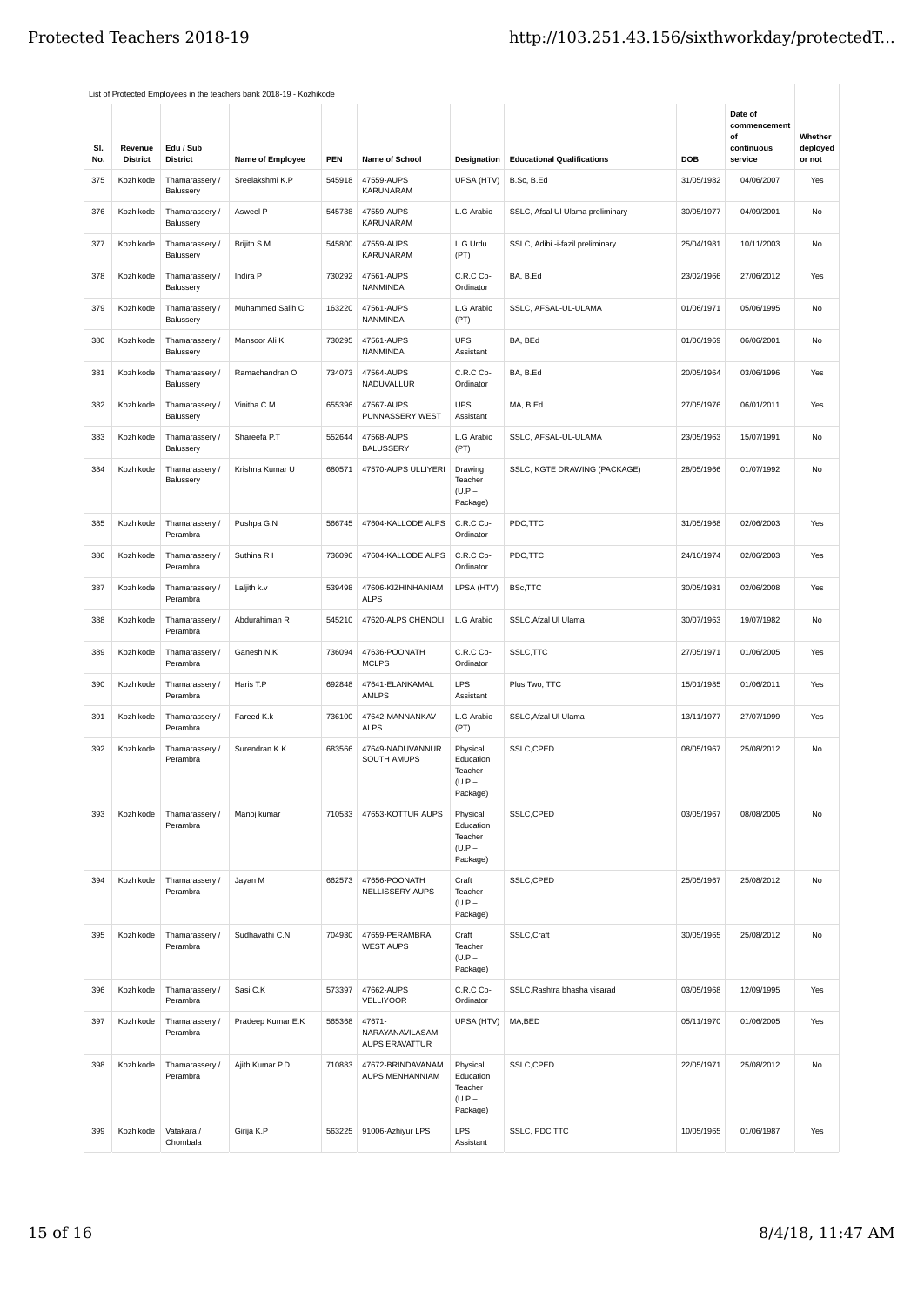|            |                            |                                          | List of Protected Employees in the teachers bank 2018-19 - Kozhikode |            |                                             |                                                          |                                   |            |                                                        |                               |
|------------|----------------------------|------------------------------------------|----------------------------------------------------------------------|------------|---------------------------------------------|----------------------------------------------------------|-----------------------------------|------------|--------------------------------------------------------|-------------------------------|
| SI.<br>No. | Revenue<br><b>District</b> | Edu / Sub<br><b>District</b>             | Name of Employee                                                     | <b>PEN</b> | Name of School                              | Designation                                              | <b>Educational Qualifications</b> | DOB        | Date of<br>commencement<br>of<br>continuous<br>service | Whether<br>deployed<br>or not |
| 375        | Kozhikode                  | Thamarassery /                           | Sreelakshmi K.P                                                      | 545918     | 47559-AUPS                                  | UPSA (HTV)                                               | B.Sc, B.Ed                        | 31/05/1982 | 04/06/2007                                             | Yes                           |
| 376        | Kozhikode                  | Balussery<br>Thamarassery /<br>Balussery | Asweel P                                                             | 545738     | KARUNARAM<br>47559-AUPS<br>KARUNARAM        | L.G Arabic                                               | SSLC, Afsal UI Ulama preliminary  | 30/05/1977 | 04/09/2001                                             | No                            |
| 377        | Kozhikode                  | Thamarassery /<br>Balussery              | Brijith S.M                                                          | 545800     | 47559-AUPS<br><b>KARUNARAM</b>              | L.G Urdu<br>(PT)                                         | SSLC, Adibi -i-fazil preliminary  | 25/04/1981 | 10/11/2003                                             | No                            |
| 378        | Kozhikode                  | Thamarassery /<br>Balussery              | Indira P                                                             | 730292     | 47561-AUPS<br>NANMINDA                      | C.R.C Co-<br>Ordinator                                   | BA, B.Ed                          | 23/02/1966 | 27/06/2012                                             | Yes                           |
| 379        | Kozhikode                  | Thamarassery /<br>Balussery              | Muhammed Salih C                                                     | 163220     | 47561-AUPS<br>NANMINDA                      | L.G Arabic<br>(PT)                                       | SSLC, AFSAL-UL-ULAMA              | 01/06/1971 | 05/06/1995                                             | No                            |
| 380        | Kozhikode                  | Thamarassery /<br>Balussery              | Mansoor Ali K                                                        | 730295     | 47561-AUPS<br>NANMINDA                      | <b>UPS</b><br>Assistant                                  | BA, BEd                           | 01/06/1969 | 06/06/2001                                             | No                            |
| 381        | Kozhikode                  | Thamarassery /<br>Balussery              | Ramachandran O                                                       | 734073     | 47564-AUPS<br><b>NADUVALLUR</b>             | C.R.C Co-<br>Ordinator                                   | BA, B.Ed                          | 20/05/1964 | 03/06/1996                                             | Yes                           |
| 382        | Kozhikode                  | Thamarassery /<br>Balussery              | Vinitha C.M                                                          | 655396     | 47567-AUPS<br>PUNNASSERY WEST               | <b>UPS</b><br>Assistant                                  | MA, B.Ed                          | 27/05/1976 | 06/01/2011                                             | Yes                           |
| 383        | Kozhikode                  | Thamarassery /<br>Balussery              | Shareefa P.T                                                         | 552644     | 47568-AUPS<br><b>BALUSSERY</b>              | L.G Arabic<br>(PT)                                       | SSLC, AFSAL-UL-ULAMA              | 23/05/1963 | 15/07/1991                                             | No                            |
| 384        | Kozhikode                  | Thamarassery /<br>Balussery              | Krishna Kumar U                                                      | 680571     | 47570-AUPS ULLIYERI                         | Drawing<br>Teacher<br>$(U.P -$<br>Package)               | SSLC, KGTE DRAWING (PACKAGE)      | 28/05/1966 | 01/07/1992                                             | No                            |
| 385        | Kozhikode                  | Thamarassery /<br>Perambra               | Pushpa G.N                                                           | 566745     | 47604-KALLODE ALPS                          | C.R.C Co-<br>Ordinator                                   | PDC,TTC                           | 31/05/1968 | 02/06/2003                                             | Yes                           |
| 386        | Kozhikode                  | Thamarassery /<br>Perambra               | Suthina R I                                                          | 736096     | 47604-KALLODE ALPS                          | C.R.C Co-<br>Ordinator                                   | PDC,TTC                           | 24/10/1974 | 02/06/2003                                             | Yes                           |
| 387        | Kozhikode                  | Thamarassery /<br>Perambra               | Laljith k.v                                                          | 539498     | 47606-KIZHINHANIAM<br><b>ALPS</b>           | LPSA (HTV)                                               | BSc, TTC                          | 30/05/1981 | 02/06/2008                                             | Yes                           |
| 388        | Kozhikode                  | Thamarassery /<br>Perambra               | Abdurahiman R                                                        | 545210     | 47620-ALPS CHENOLI                          | L.G Arabic                                               | SSLC, Afzal UI Ulama              | 30/07/1963 | 19/07/1982                                             | No                            |
| 389        | Kozhikode                  | Thamarassery /<br>Perambra               | Ganesh N.K                                                           | 736094     | 47636-POONATH<br><b>MCLPS</b>               | C.R.C Co-<br>Ordinator                                   | SSLC, TTC                         | 27/05/1971 | 01/06/2005                                             | Yes                           |
| 390        | Kozhikode                  | Thamarassery /<br>Perambra               | Haris T.P                                                            | 692848     | 47641-ELANKAMAL<br><b>AMLPS</b>             | <b>LPS</b><br>Assistant                                  | Plus Two, TTC                     | 15/01/1985 | 01/06/2011                                             | Yes                           |
| 391        | Kozhikode                  | Thamarassery /<br>Perambra               | Fareed K.k                                                           | 736100     | 47642-MANNANKAV<br><b>ALPS</b>              | L.G Arabic<br>(PT)                                       | SSLC, Afzal UI Ulama              | 13/11/1977 | 27/07/1999                                             | Yes                           |
| 392        | Kozhikode                  | Thamarassery /<br>Perambra               | Surendran K.K                                                        | 683566     | 47649-NADUVANNUR<br>SOUTH AMUPS             | Physical<br>Education<br>Teacher<br>$(U.P -$<br>Package) | SSLC,CPED                         | 08/05/1967 | 25/08/2012                                             | No                            |
| 393        | Kozhikode                  | Thamarassery /<br>Perambra               | Manoj kumar                                                          | 710533     | 47653-KOTTUR AUPS                           | Physical<br>Education<br>Teacher<br>$(U.P -$<br>Package) | SSLC,CPED                         | 03/05/1967 | 08/08/2005                                             | No                            |
| 394        | Kozhikode                  | Thamarassery /<br>Perambra               | Jayan M                                                              | 662573     | 47656-POONATH<br>NELLISSERY AUPS            | Craft<br>Teacher<br>$(U.P -$<br>Package)                 | SSLC,CPED                         | 25/05/1967 | 25/08/2012                                             | No                            |
| 395        | Kozhikode                  | Thamarassery /<br>Perambra               | Sudhavathi C.N                                                       | 704930     | 47659-PERAMBRA<br><b>WEST AUPS</b>          | Craft<br>Teacher<br>$(U.P -$<br>Package)                 | SSLC,Craft                        | 30/05/1965 | 25/08/2012                                             | No                            |
| 396        | Kozhikode                  | Thamarassery /<br>Perambra               | Sasi C.K                                                             | 573397     | 47662-AUPS<br><b>VELLIYOOR</b>              | C.R.C Co-<br>Ordinator                                   | SSLC, Rashtra bhasha visarad      | 03/05/1968 | 12/09/1995                                             | Yes                           |
| 397        | Kozhikode                  | Thamarassery /<br>Perambra               | Pradeep Kumar E.K                                                    | 565368     | 47671-<br>NARAYANAVILASAM<br>AUPS ERAVATTUR | UPSA (HTV)                                               | MA,BED                            | 05/11/1970 | 01/06/2005                                             | Yes                           |
| 398        | Kozhikode                  | Thamarassery /<br>Perambra               | Ajith Kumar P.D                                                      | 710883     | 47672-BRINDAVANAM<br>AUPS MENHANNIAM        | Physical<br>Education<br>Teacher<br>$(U.P -$<br>Package) | SSLC,CPED                         | 22/05/1971 | 25/08/2012                                             | No                            |
| 399        | Kozhikode                  | Vatakara /<br>Chombala                   | Girija K.P                                                           | 563225     | 91006-Azhiyur LPS                           | LPS<br>Assistant                                         | SSLC, PDC TTC                     | 10/05/1965 | 01/06/1987                                             | Yes                           |